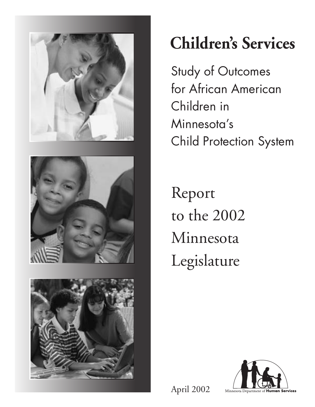





# **Children's Services**

Study of Outcomes for African American Children in Minnesota's Child Protection System

Report to the 2002 Minnesota Legislature



April 2002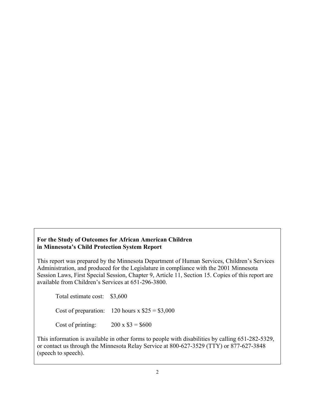#### **For the Study of Outcomes for African American Children in Minnesota's Child Protection System Report**

This report was prepared by the Minnesota Department of Human Services, Children's Services Administration, and produced for the Legislature in compliance with the 2001 Minnesota Session Laws, First Special Session, Chapter 9, Article 11, Section 15. Copies of this report are available from Children's Services at 651-296-3800.

Total estimate cost: \$3,600

Cost of preparation:  $120$  hours x  $$25 = $3,000$ 

Cost of printing:  $200 \times $3 = $600$ 

This information is available in other forms to people with disabilities by calling 651-282-5329, or contact us through the Minnesota Relay Service at 800-627-3529 (TTY) or 877-627-3848 (speech to speech).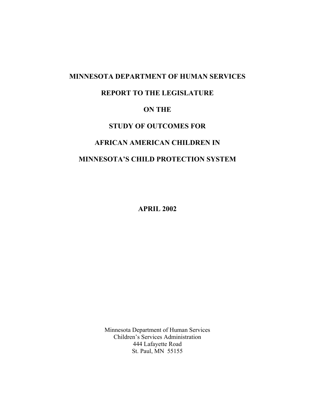# **MINNESOTA DEPARTMENT OF HUMAN SERVICES REPORT TO THE LEGISLATURE ON THE STUDY OF OUTCOMES FOR AFRICAN AMERICAN CHILDREN IN MINNESOTA'S CHILD PROTECTION SYSTEM**

**APRIL 2002** 

Minnesota Department of Human Services Children's Services Administration 444 Lafayette Road St. Paul, MN 55155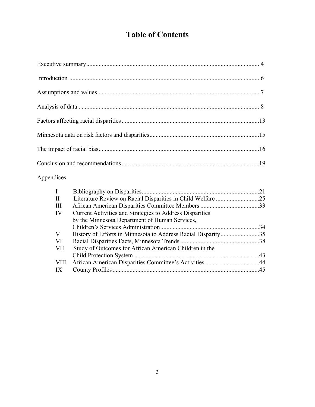# **Table of Contents**

# Appendices

| $\bf{I}$           |                                                          | 21  |
|--------------------|----------------------------------------------------------|-----|
| $\mathbf{I}$       |                                                          |     |
| $\mathop{\rm III}$ |                                                          |     |
| IV                 | Current Activities and Strategies to Address Disparities |     |
|                    | by the Minnesota Department of Human Services,           |     |
|                    |                                                          | .34 |
| V                  |                                                          |     |
| VI                 |                                                          |     |
| VII                | Study of Outcomes for African American Children in the   |     |
|                    |                                                          |     |
| VIII               |                                                          |     |
| IX                 |                                                          |     |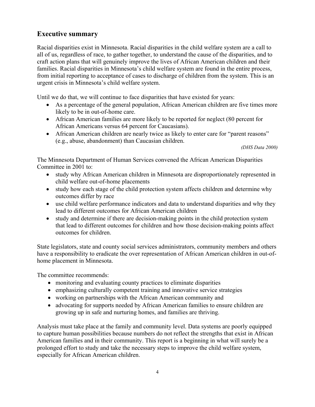## **Executive summary**

Racial disparities exist in Minnesota. Racial disparities in the child welfare system are a call to all of us, regardless of race, to gather together, to understand the cause of the disparities, and to craft action plans that will genuinely improve the lives of African American children and their families. Racial disparities in Minnesota's child welfare system are found in the entire process, from initial reporting to acceptance of cases to discharge of children from the system. This is an urgent crisis in Minnesota's child welfare system.

Until we do that, we will continue to face disparities that have existed for years:

- As a percentage of the general population, African American children are five times more likely to be in out-of-home care.
- African American families are more likely to be reported for neglect (80 percent for African Americans versus 64 percent for Caucasians).
- African American children are nearly twice as likely to enter care for "parent reasons" (e.g., abuse, abandonment) than Caucasian children.

*(DHS Data 2000)* 

The Minnesota Department of Human Services convened the African American Disparities Committee in 2001 to:

- study why African American children in Minnesota are disproportionately represented in child welfare out-of-home placements
- study how each stage of the child protection system affects children and determine why outcomes differ by race
- use child welfare performance indicators and data to understand disparities and why they lead to different outcomes for African American children
- study and determine if there are decision-making points in the child protection system that lead to different outcomes for children and how those decision-making points affect outcomes for children.

State legislators, state and county social services administrators, community members and others have a responsibility to eradicate the over representation of African American children in out-ofhome placement in Minnesota.

The committee recommends:

- monitoring and evaluating county practices to eliminate disparities
- emphasizing culturally competent training and innovative service strategies
- working on partnerships with the African American community and
- advocating for supports needed by African American families to ensure children are growing up in safe and nurturing homes, and families are thriving.

Analysis must take place at the family and community level. Data systems are poorly equipped to capture human possibilities because numbers do not reflect the strengths that exist in African American families and in their community. This report is a beginning in what will surely be a prolonged effort to study and take the necessary steps to improve the child welfare system, especially for African American children.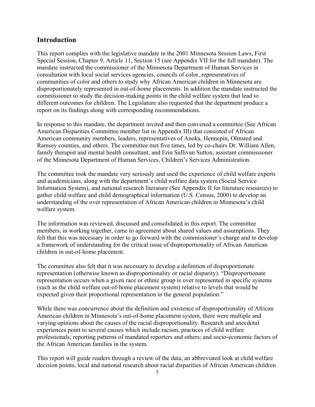#### **Introduction**

This report complies with the legislative mandate in the 2001 Minnesota Session Laws, First Special Session, Chapter 9, Article 11, Section 15 (see Appendix VII for the full mandate). The mandate instructed the commissioner of the Minnesota Department of Human Services in consultation with local social services agencies, councils of color, representatives of communities of color and others to study why African American children in Minnesota are disproportionately represented in out-of-home placements. In addition the mandate instructed the commissioner to study the decision-making points in the child welfare system that lead to different outcomes for children. The Legislature also requested that the department produce a report on its findings along with corresponding recommendations.

In response to this mandate, the department invited and then convened a committee (See African American Disparities Committee member list in Appendix III) that consisted of African American community members, leaders, representatives of Anoka, Hennepin, Olmsted and Ramsey counties, and others. The committee met five times, led by co-chairs Dr. William Allen, family therapist and mental health consultant, and Erin Sullivan Sutton, assistant commissioner of the Minnesota Department of Human Services, Children's Services Administration.

The committee took the mandate very seriously and used the experience of child welfare experts and academicians, along with the department's child welfare data system (Social Service Information System), and national research literature (See Appendix II for literature resources) to gather child welfare and child demographical information (U.S. Census, 2000) to develop an understanding of the over representation of African American children in Minnesota's child welfare system.

The information was reviewed, discussed and consolidated in this report. The committee members, in working together, came to agreement about shared values and assumptions. They felt that this was necessary in order to go forward with the commissioner's charge and to develop a framework of understanding for the critical issue of disproportionality of African American children in out-of-home placement.

The committee also felt that it was necessary to develop a definition of disproportionate representation (otherwise known as disproportionality or racial disparity). "Disproportionate representation occurs when a given race or ethnic group is over represented in specific systems (such as the child welfare out-of-home placement system) relative to levels that would be expected given their proportional representation in the general population."

While there was concurrence about the definition and existence of disproportionality of African American children in Minnesota's out-of-home placement system, there were multiple and varying opinions about the causes of the racial disproportionality. Research and anecdotal experiences point to several causes which include racism; practices of child welfare professionals; reporting patterns of mandated reporters and others; and socio-economic factors of the African American families in the system.

This report will guide readers through a review of the data, an abbreviated look at child welfare decision points, local and national research about racial disparities of African American children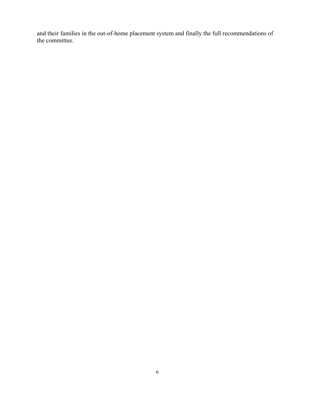and their families in the out-of-home placement system and finally the full recommendations of the committee.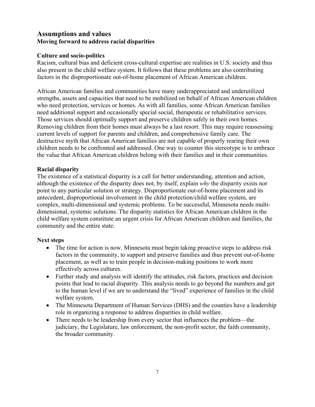### **Assumptions and values Moving forward to address racial disparities**

#### **Culture and socio-politics**

Racism, cultural bias and deficient cross-cultural expertise are realities in U.S. society and thus also present in the child welfare system. It follows that these problems are also contributing factors in the disproportionate out-of-home placement of African American children.

African American families and communities have many underappreciated and underutilized strengths, assets and capacities that need to be mobilized on behalf of African American children who need protection, services or homes. As with all families, some African American families need additional support and occasionally special social, therapeutic or rehabilitative services. Those services should optimally support and preserve children safely in their own homes. Removing children from their homes must always be a last resort. This may require reassessing current levels of support for parents and children, and comprehensive family care. The destructive myth that African American families are not capable of properly rearing their own children needs to be confronted and addressed. One way to counter this stereotype is to embrace the value that African American children belong with their families and in their communities.

#### **Racial disparity**

The existence of a statistical disparity is a call for better understanding, attention and action, although the existence of the disparity does not, by itself, explain *why* the disparity exists nor point to any particular solution or strategy. Disproportionate out-of-home placement and its antecedent, disproportional involvement in the child protection/child welfare system, are complex, multi-dimensional and systemic problems. To be successful, Minnesota needs multidimensional, systemic solutions. The disparity statistics for African American children in the child welfare system constitute an urgent crisis for African American children and families, the community and the entire state.

#### **Next steps**

- The time for action is now. Minnesota must begin taking proactive steps to address risk factors in the community, to support and preserve families and thus prevent out-of-home placement, as well as to train people in decision-making positions to work more effectively across cultures.
- Further study and analysis will identify the attitudes, risk factors, practices and decision points that lead to racial disparity. This analysis needs to go beyond the numbers and get to the human level if we are to understand the "lived" experience of families in the child welfare system.
- The Minnesota Department of Human Services (DHS) and the counties have a leadership role in organizing a response to address disparities in child welfare.
- There needs to be leadership from every sector that influences the problem—the judiciary, the Legislature, law enforcement, the non-profit sector, the faith community, the broader community.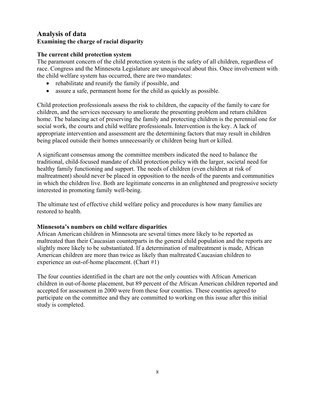### **Analysis of data Examining the charge of racial disparity**

#### **The current child protection system**

The paramount concern of the child protection system is the safety of all children, regardless of race. Congress and the Minnesota Legislature are unequivocal about this. Once involvement with the child welfare system has occurred, there are two mandates:

- rehabilitate and reunify the family if possible, and
- assure a safe, permanent home for the child as quickly as possible.

Child protection professionals assess the risk to children, the capacity of the family to care for children, and the services necessary to ameliorate the presenting problem and return children home. The balancing act of preserving the family and protecting children is the perennial one for social work, the courts and child welfare professionals. Intervention is the key. A lack of appropriate intervention and assessment are the determining factors that may result in children being placed outside their homes unnecessarily or children being hurt or killed.

A significant consensus among the committee members indicated the need to balance the traditional, child-focused mandate of child protection policy with the larger, societal need for healthy family functioning and support. The needs of children (even children at risk of maltreatment) should never be placed in opposition to the needs of the parents and communities in which the children live. Both are legitimate concerns in an enlightened and progressive society interested in promoting family well-being.

The ultimate test of effective child welfare policy and procedures is how many families are restored to health.

#### **Minnesota's numbers on child welfare disparities**

African American children in Minnesota are several times more likely to be reported as maltreated than their Caucasian counterparts in the general child population and the reports are slightly more likely to be substantiated. If a determination of maltreatment is made, African American children are more than twice as likely than maltreated Caucasian children to experience an out-of-home placement. (Chart #1)

The four counties identified in the chart are not the only counties with African American children in out-of-home placement, but 89 percent of the African American children reported and accepted for assessment in 2000 were from these four counties. These counties agreed to participate on the committee and they are committed to working on this issue after this initial study is completed.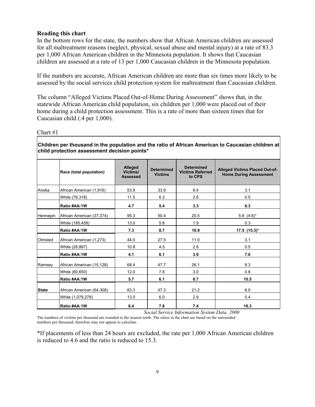#### **Reading this chart**

In the bottom rows for the state, the numbers show that African American children are assessed for all maltreatment reasons (neglect, physical, sexual abuse and mental injury) at a rate of 83.3 per 1,000 African American children in the Minnesota population. It shows that Caucasian children are assessed at a rate of 13 per 1,000 Caucasian children in the Minnesota population.

If the numbers are accurate, African American children are more than six times more likely to be assessed by the social services child protection system for maltreatment than Caucasian children.

The column "Alleged Victims Placed Out-of-Home During Assessment" shows that, in the statewide African American child population, six children per 1,000 were placed out of their home during a child protection assessment. This is a rate of more than sixteen times that for Caucasian child (.4 per 1,000).

Chart #1

**Children per thousand in the population and the ratio of African American to Caucasian children at child protection assessment decision points\***

|              | Race (total population)   | Alleged<br>Victims/<br><b>Assessed</b> | <b>Determined</b><br><b>Victims</b> | <b>Determined</b><br><b>Victims Referred</b><br>to CPS | <b>Alleged Victims Placed Out-of-</b><br><b>Home During Assessment</b> |
|--------------|---------------------------|----------------------------------------|-------------------------------------|--------------------------------------------------------|------------------------------------------------------------------------|
| Anoka        | African American (1,916)  | 53.8                                   | 33.9                                | 8.4                                                    | 3.1                                                                    |
|              | White (78,318)            | 11.5                                   | 6.3                                 | 2.6                                                    | 0.5                                                                    |
|              | Ratio #AA:1W              | 4.7                                    | 5.4                                 | 3.3                                                    | 6.3                                                                    |
| Hennepin     | African American (37,374) | 95.3                                   | 50.4                                | 20.5                                                   | $5.8(4.6)$ *                                                           |
|              | White (185,458)           | 13.0                                   | 5.8                                 | 1.9                                                    | 0.3                                                                    |
|              | Ratio #AA:1W              | 7.3                                    | 8.7                                 | 10.9                                                   | $17.5$ $(15.3)^*$                                                      |
| Olmsted      | African American (1,273)  | 44.0                                   | 27.5                                | 11.0                                                   | 3.1                                                                    |
|              | White (28,887)            | 10.8                                   | 4.5                                 | 2.8                                                    | 0.5                                                                    |
|              | Ratio #AA:1W              | 4.1                                    | 6.1                                 | 3.9                                                    | 7.0                                                                    |
| Ramsey       | African American (15,128) | 68.4                                   | 47.7                                | 26.1                                                   | 8.3                                                                    |
|              | White (80,650)            | 12.0                                   | 7.8                                 | 3.0                                                    | 0.8                                                                    |
|              | Ratio #AA:1W              | 5.7                                    | 6.1                                 | 8.7                                                    | 10.5                                                                   |
| <b>State</b> | African American (64,308) | 83.3                                   | 47.3                                | 21.2                                                   | 6.0                                                                    |
|              | White (1,079,278)         | 13.0                                   | 6.0                                 | 2.9                                                    | 0.4                                                                    |
|              | Ratio #AA:1W              | 6.4                                    | 7.8                                 | 7.4                                                    | 16.3                                                                   |

 *Social Service Information System Data, 2000* 

The numbers of victims per thousand are rounded to the nearest tenth. The ratios in the chart are based on the unrounded numbers per thousand, therefore may not appear to calculate.

\*If placements of less than 24 hours are excluded, the rate per 1,000 African American children is reduced to 4.6 and the ratio is reduced to 15.3.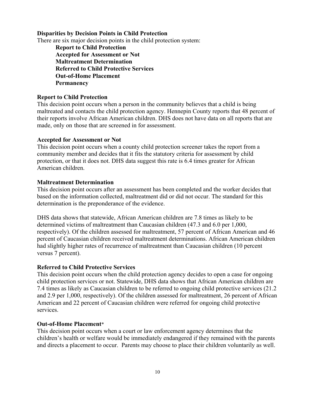#### **Disparities by Decision Points in Child Protection**

There are six major decision points in the child protection system:

**Report to Child Protection Accepted for Assessment or Not Maltreatment Determination Referred to Child Protective Services Out-of-Home Placement Permanency**

#### **Report to Child Protection**

This decision point occurs when a person in the community believes that a child is being maltreated and contacts the child protection agency. Hennepin County reports that 48 percent of their reports involve African American children. DHS does not have data on all reports that are made, only on those that are screened in for assessment.

#### **Accepted for Assessment or Not**

This decision point occurs when a county child protection screener takes the report from a community member and decides that it fits the statutory criteria for assessment by child protection, or that it does not. DHS data suggest this rate is 6.4 times greater for African American children.

#### **Maltreatment Determination**

This decision point occurs after an assessment has been completed and the worker decides that based on the information collected, maltreatment did or did not occur. The standard for this determination is the preponderance of the evidence.

DHS data shows that statewide, African American children are 7.8 times as likely to be determined victims of maltreatment than Caucasian children (47.3 and 6.0 per 1,000, respectively). Of the children assessed for maltreatment, 57 percent of African American and 46 percent of Caucasian children received maltreatment determinations. African American children had slightly higher rates of recurrence of maltreatment than Caucasian children (10 percent versus 7 percent).

#### **Referred to Child Protective Services**

This decision point occurs when the child protection agency decides to open a case for ongoing child protection services or not. Statewide, DHS data shows that African American children are 7.4 times as likely as Caucasian children to be referred to ongoing child protective services (21.2 and 2.9 per 1,000, respectively). Of the children assessed for maltreatment, 26 percent of African American and 22 percent of Caucasian children were referred for ongoing child protective services.

#### **Out-of-Home Placement**\*

This decision point occurs when a court or law enforcement agency determines that the children's health or welfare would be immediately endangered if they remained with the parents and directs a placement to occur. Parents may choose to place their children voluntarily as well.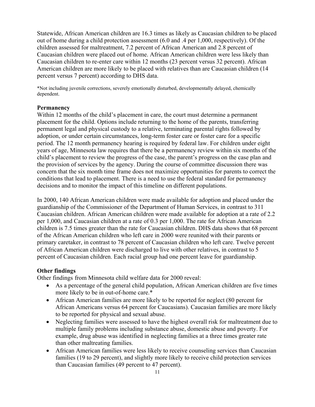Statewide, African American children are 16.3 times as likely as Caucasian children to be placed out of home during a child protection assessment (6.0 and .4 per 1,000, respectively). Of the children assessed for maltreatment, 7.2 percent of African American and 2.8 percent of Caucasian children were placed out of home. African American children were less likely than Caucasian children to re-enter care within 12 months (23 percent versus 32 percent). African American children are more likely to be placed with relatives than are Caucasian children (14 percent versus 7 percent) according to DHS data.

\*Not including juvenile corrections, severely emotionally disturbed, developmentally delayed, chemically dependent.

#### **Permanency**

Within 12 months of the child's placement in care, the court must determine a permanent placement for the child. Options include returning to the home of the parents, transferring permanent legal and physical custody to a relative, terminating parental rights followed by adoption, or under certain circumstances, long-term foster care or foster care for a specific period. The 12 month permanency hearing is required by federal law. For children under eight years of age, Minnesota law requires that there be a permanency review within six months of the child's placement to review the progress of the case, the parent's progress on the case plan and the provision of services by the agency. During the course of committee discussion there was concern that the six month time frame does not maximize opportunities for parents to correct the conditions that lead to placement. There is a need to use the federal standard for permanency decisions and to monitor the impact of this timeline on different populations.

In 2000, 140 African American children were made available for adoption and placed under the guardianship of the Commissioner of the Department of Human Services, in contrast to 311 Caucasian children. African American children were made available for adoption at a rate of 2.2 per 1,000, and Caucasian children at a rate of 0.3 per 1,000. The rate for African American children is 7.5 times greater than the rate for Caucasian children. DHS data shows that 68 percent of the African American children who left care in 2000 were reunited with their parents or primary caretaker, in contrast to 78 percent of Caucasian children who left care. Twelve percent of African American children were discharged to live with other relatives, in contrast to 5 percent of Caucasian children. Each racial group had one percent leave for guardianship.

#### **Other findings**

Other findings from Minnesota child welfare data for 2000 reveal:

- As a percentage of the general child population, African American children are five times more likely to be in out-of-home care.\*
- African American families are more likely to be reported for neglect (80 percent for African Americans versus 64 percent for Caucasians). Caucasian families are more likely to be reported for physical and sexual abuse.
- Neglecting families were assessed to have the highest overall risk for maltreatment due to multiple family problems including substance abuse, domestic abuse and poverty. For example, drug abuse was identified in neglecting families at a three times greater rate than other maltreating families.
- African American families were less likely to receive counseling services than Caucasian families (19 to 29 percent), and slightly more likely to receive child protection services than Caucasian families (49 percent to 47 percent).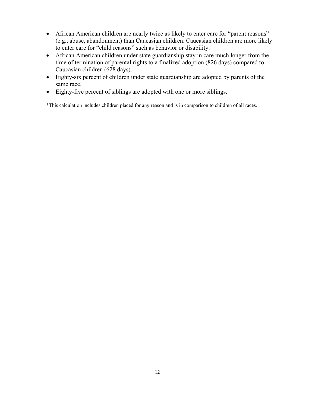- African American children are nearly twice as likely to enter care for "parent reasons" (e.g., abuse, abandonment) than Caucasian children. Caucasian children are more likely to enter care for "child reasons" such as behavior or disability.
- African American children under state guardianship stay in care much longer from the time of termination of parental rights to a finalized adoption (826 days) compared to Caucasian children (628 days).
- Eighty-six percent of children under state guardianship are adopted by parents of the same race.
- Eighty-five percent of siblings are adopted with one or more siblings.

\*This calculation includes children placed for any reason and is in comparison to children of all races.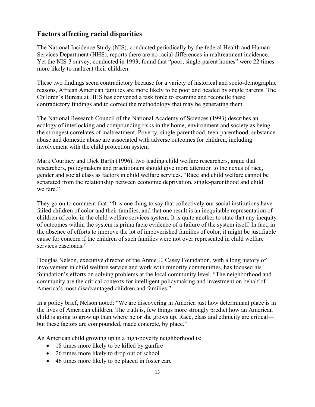### **Factors affecting racial disparities**

The National Incidence Study (NIS), conducted periodically by the federal Health and Human Services Department (HHS), reports there are no racial differences in maltreatment incidence. Yet the NIS-3 survey, conducted in 1993, found that "poor, single-parent homes" were 22 times more likely to maltreat their children.

These two findings seem contradictory because for a variety of historical and socio-demographic reasons, African American families are more likely to be poor and headed by single parents. The Children's Bureau at HHS has convened a task force to examine and reconcile these contradictory findings and to correct the methodology that may be generating them.

The National Research Council of the National Academy of Sciences (1993) describes an ecology of interlocking and compounding risks in the home, environment and society as being the strongest correlates of maltreatment. Poverty, single-parenthood, teen-parenthood, substance abuse and domestic abuse are associated with adverse outcomes for children, including involvement with the child protection system

Mark Courtney and Dick Barth (1996), two leading child welfare researchers, argue that researchers, policymakers and practitioners should give more attention to the nexus of race, gender and social class as factors in child welfare services. "Race and child welfare cannot be separated from the relationship between economic deprivation, single-parenthood and child welfare."

They go on to comment that: "It is one thing to say that collectively our social institutions have failed children of color and their families, and that one result is an inequitable representation of children of color in the child welfare services system. It is quite another to state that any inequity of outcomes within the system is prima facie evidence of a failure of the system itself. In fact, in the absence of efforts to improve the lot of impoverished families of color, it might be justifiable cause for concern if the children of such families were not over represented in child welfare services caseloads."

Douglas Nelson, executive director of the Annie E. Casey Foundation, with a long history of involvement in child welfare service and work with minority communities, has focused his foundation's efforts on solving problems at the local community level. "The neighborhood and community are the critical contexts for intelligent policymaking and investment on behalf of America's most disadvantaged children and families."

In a policy brief, Nelson noted: "We are discovering in America just how determinant place is in the lives of American children. The truth is, few things more strongly predict how an American child is going to grow up than where he or she grows up. Race, class and ethnicity are critical but these factors are compounded, made concrete, by place."

An American child growing up in a high-poverty neighborhood is:

- 18 times more likely to be killed by gunfire
- 26 times more likely to drop out of school
- 46 times more likely to be placed in foster care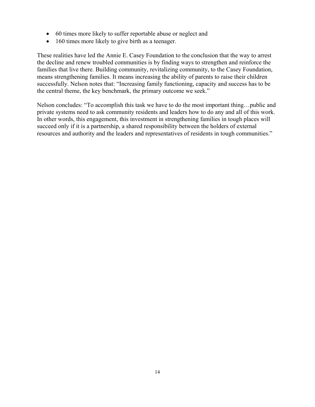- 60 times more likely to suffer reportable abuse or neglect and
- 160 times more likely to give birth as a teenager.

These realities have led the Annie E. Casey Foundation to the conclusion that the way to arrest the decline and renew troubled communities is by finding ways to strengthen and reinforce the families that live there. Building community, revitalizing community, to the Casey Foundation, means strengthening families. It means increasing the ability of parents to raise their children successfully. Nelson notes that: "Increasing family functioning, capacity and success has to be the central theme, the key benchmark, the primary outcome we seek."

Nelson concludes: "To accomplish this task we have to do the most important thing…public and private systems need to ask community residents and leaders how to do any and all of this work. In other words, this engagement, this investment in strengthening families in tough places will succeed only if it is a partnership, a shared responsibility between the holders of external resources and authority and the leaders and representatives of residents in tough communities."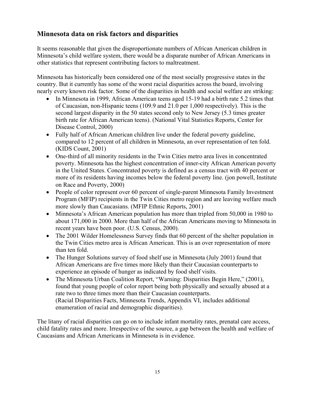## **Minnesota data on risk factors and disparities**

It seems reasonable that given the disproportionate numbers of African American children in Minnesota's child welfare system, there would be a disparate number of African Americans in other statistics that represent contributing factors to maltreatment.

Minnesota has historically been considered one of the most socially progressive states in the country. But it currently has some of the worst racial disparities across the board, involving nearly every known risk factor. Some of the disparities in health and social welfare are striking:

- In Minnesota in 1999, African American teens aged 15-19 had a birth rate 5.2 times that of Caucasian, non-Hispanic teens (109.9 and 21.0 per 1,000 respectively). This is the second largest disparity in the 50 states second only to New Jersey (5.3 times greater birth rate for African American teens). (National Vital Statistics Reports, Center for Disease Control, 2000)
- Fully half of African American children live under the federal poverty guideline, compared to 12 percent of all children in Minnesota, an over representation of ten fold. (KIDS Count, 2001)
- One-third of all minority residents in the Twin Cities metro area lives in concentrated poverty. Minnesota has the highest concentration of inner-city African American poverty in the United States. Concentrated poverty is defined as a census tract with 40 percent or more of its residents having incomes below the federal poverty line. (jon powell, Institute on Race and Poverty, 2000)
- People of color represent over 60 percent of single-parent Minnesota Family Investment Program (MFIP) recipients in the Twin Cities metro region and are leaving welfare much more slowly than Caucasians. (MFIP Ethnic Reports, 2001)
- Minnesota's African American population has more than tripled from 50,000 in 1980 to about 171,000 in 2000. More than half of the African Americans moving to Minnesota in recent years have been poor. (U.S. Census, 2000).
- The 2001 Wilder Homelessness Survey finds that 60 percent of the shelter population in the Twin Cities metro area is African American. This is an over representation of more than ten fold.
- The Hunger Solutions survey of food shelf use in Minnesota (July 2001) found that African Americans are five times more likely than their Caucasian counterparts to experience an episode of hunger as indicated by food shelf visits.
- The Minnesota Urban Coalition Report, "Warning: Disparities Begin Here," (2001), found that young people of color report being both physically and sexually abused at a rate two to three times more than their Caucasian counterparts. (Racial Disparities Facts, Minnesota Trends, Appendix VI, includes additional enumeration of racial and demographic disparities).

The litany of racial disparities can go on to include infant mortality rates, prenatal care access, child fatality rates and more. Irrespective of the source, a gap between the health and welfare of Caucasians and African Americans in Minnesota is in evidence.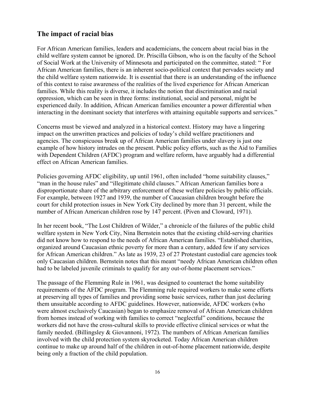#### **The impact of racial bias**

For African American families, leaders and academicians, the concern about racial bias in the child welfare system cannot be ignored. Dr. Priscilla Gibson, who is on the faculty of the School of Social Work at the University of Minnesota and participated on the committee, stated: " For African American families, there is an inherent socio-political context that pervades society and the child welfare system nationwide. It is essential that there is an understanding of the influence of this context to raise awareness of the realities of the lived experience for African American families. While this reality is diverse, it includes the notion that discrimination and racial oppression, which can be seen in three forms: institutional, social and personal, might be experienced daily. In addition, African American families encounter a power differential when interacting in the dominant society that interferes with attaining equitable supports and services."

Concerns must be viewed and analyzed in a historical context. History may have a lingering impact on the unwritten practices and policies of today's child welfare practitioners and agencies. The conspicuous break up of African American families under slavery is just one example of how history intrudes on the present. Public policy efforts, such as the Aid to Families with Dependent Children (AFDC) program and welfare reform, have arguably had a differential effect on African American families.

Policies governing AFDC eligibility, up until 1961, often included "home suitability clauses," "man in the house rules" and "illegitimate child clauses." African American families bore a disproportionate share of the arbitrary enforcement of these welfare policies by public officials. For example, between 1927 and 1939, the number of Caucasian children brought before the court for child protection issues in New York City declined by more than 31 percent, while the number of African American children rose by 147 percent. (Piven and Cloward, 1971).

In her recent book, "The Lost Children of Wilder," a chronicle of the failures of the public child welfare system in New York City, Nina Bernstein notes that the existing child-serving charities did not know how to respond to the needs of African American families. "Established charities, organized around Caucasian ethnic poverty for more than a century, added few if any services for African American children." As late as 1939, 23 of 27 Protestant custodial care agencies took only Caucasian children. Bernstein notes that this meant "needy African American children often had to be labeled juvenile criminals to qualify for any out-of-home placement services."

The passage of the Flemming Rule in 1961, was designed to counteract the home suitability requirements of the AFDC program. The Flemming rule required workers to make some efforts at preserving all types of families and providing some basic services, rather than just declaring them unsuitable according to AFDC guidelines. However, nationwide, AFDC workers (who were almost exclusively Caucasian) began to emphasize removal of African American children from homes instead of working with families to correct "neglectful" conditions, because the workers did not have the cross-cultural skills to provide effective clinical services or what the family needed. (Billingsley & Giovannoni, 1972). The numbers of African American families involved with the child protection system skyrocketed. Today African American children continue to make up around half of the children in out-of-home placement nationwide, despite being only a fraction of the child population.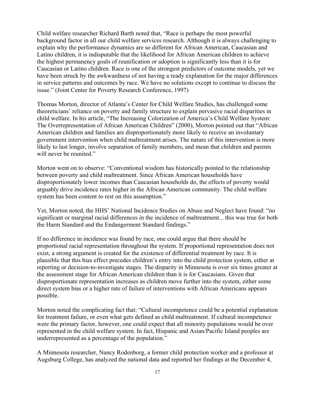Child welfare researcher Richard Barth noted that, "Race is perhaps the most powerful background factor in all our child welfare services research. Although it is always challenging to explain why the performance dynamics are so different for African American, Caucasian and Latino children, it is indisputable that the likelihood for African American children to achieve the highest permanency goals of reunification or adoption is significantly less than it is for Caucasian or Latino children. Race is one of the strongest predictors of outcome models, yet we have been struck by the awkwardness of not having a ready explanation for the major differences in service patterns and outcomes by race. We have no solutions except to continue to discuss the issue." (Joint Center for Poverty Research Conference, 1997)

Thomas Morton, director of Atlanta's Center for Child Welfare Studies, has challenged some theoreticians' reliance on poverty and family structure to explain pervasive racial disparities in child welfare. In his article, "The Increasing Colorization of America's Child Welfare System: The Overrepresentation of African American Children" (2000), Morton pointed out that "African American children and families are disproportionately more likely to receive an involuntary government intervention when child maltreatment arises. The nature of this intervention is more likely to last longer, involve separation of family members, and mean that children and parents will never be reunited."

Morton went on to observe: "Conventional wisdom has historically pointed to the relationship between poverty and child maltreatment. Since African American households have disproportionately lower incomes than Caucasian households do, the effects of poverty would arguably drive incidence rates higher in the African American community. The child welfare system has been content to rest on this assumption."

Yet, Morton noted, the HHS' National Incidence Studies on Abuse and Neglect have found: "no significant or marginal racial differences in the incidence of maltreatment... this was true for both the Harm Standard and the Endangerment Standard findings."

If no difference in incidence was found by race, one could argue that there should be proportional racial representation throughout the system. If proportional representation does not exist, a strong argument is created for the existence of differential treatment by race. It is plausible that this bias effect precedes children's entry into the child protection system, either at reporting or decision-to-investigate stages. The disparity in Minnesota is over six times greater at the assessment stage for African American children than it is for Caucasians. Given that disproportionate representation increases as children move further into the system, either some direct system bias or a higher rate of failure of interventions with African Americans appears possible.

Morton noted the complicating fact that: "Cultural incompetence could be a potential explanation for treatment failure, or even what gets defined as child maltreatment. If cultural incompetence were the primary factor, however, one could expect that all minority populations would be over represented in the child welfare system. In fact, Hispanic and Asian/Pacific Island peoples are underrepresented as a percentage of the population."

A Minnesota researcher, Nancy Rodenborg, a former child protection worker and a professor at Augsburg College, has analyzed the national data and reported her findings at the December 4,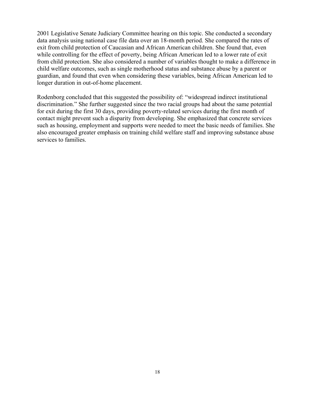2001 Legislative Senate Judiciary Committee hearing on this topic. She conducted a secondary data analysis using national case file data over an 18-month period. She compared the rates of exit from child protection of Caucasian and African American children. She found that, even while controlling for the effect of poverty, being African American led to a lower rate of exit from child protection. She also considered a number of variables thought to make a difference in child welfare outcomes, such as single motherhood status and substance abuse by a parent or guardian, and found that even when considering these variables, being African American led to longer duration in out-of-home placement.

Rodenborg concluded that this suggested the possibility of: "widespread indirect institutional discrimination." She further suggested since the two racial groups had about the same potential for exit during the first 30 days, providing poverty-related services during the first month of contact might prevent such a disparity from developing. She emphasized that concrete services such as housing, employment and supports were needed to meet the basic needs of families. She also encouraged greater emphasis on training child welfare staff and improving substance abuse services to families.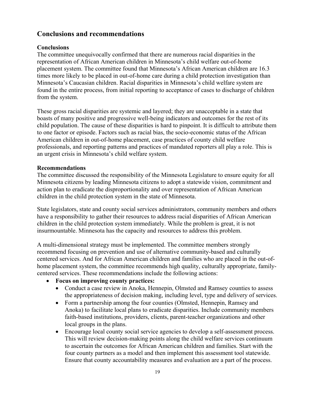### **Conclusions and recommendations**

#### **Conclusions**

The committee unequivocally confirmed that there are numerous racial disparities in the representation of African American children in Minnesota's child welfare out-of-home placement system. The committee found that Minnesota's African American children are 16.3 times more likely to be placed in out-of-home care during a child protection investigation than Minnesota's Caucasian children. Racial disparities in Minnesota's child welfare system are found in the entire process, from initial reporting to acceptance of cases to discharge of children from the system.

These gross racial disparities are systemic and layered; they are unacceptable in a state that boasts of many positive and progressive well-being indicators and outcomes for the rest of its child population. The cause of these disparities is hard to pinpoint. It is difficult to attribute them to one factor or episode. Factors such as racial bias, the socio-economic status of the African American children in out-of-home placement, case practices of county child welfare professionals, and reporting patterns and practices of mandated reporters all play a role. This is an urgent crisis in Minnesota's child welfare system.

#### **Recommendations**

The committee discussed the responsibility of the Minnesota Legislature to ensure equity for all Minnesota citizens by leading Minnesota citizens to adopt a statewide vision, commitment and action plan to eradicate the disproportionality and over representation of African American children in the child protection system in the state of Minnesota.

State legislators, state and county social services administrators, community members and others have a responsibility to gather their resources to address racial disparities of African American children in the child protection system immediately. While the problem is great, it is not insurmountable. Minnesota has the capacity and resources to address this problem.

A multi-dimensional strategy must be implemented. The committee members strongly recommend focusing on prevention and use of alternative community-based and culturally centered services. And for African American children and families who are placed in the out-ofhome placement system, the committee recommends high quality, culturally appropriate, familycentered services. These recommendations include the following actions:

- **Focus on improving county practices:**
	- Conduct a case review in Anoka, Hennepin, Olmsted and Ramsey counties to assess the appropriateness of decision making, including level, type and delivery of services.
	- Form a partnership among the four counties (Olmsted, Hennepin, Ramsey and Anoka) to facilitate local plans to eradicate disparities. Include community members faith-based institutions, providers, clients, parent-teacher organizations and other local groups in the plans.
	- Encourage local county social service agencies to develop a self-assessment process. This will review decision-making points along the child welfare services continuum to ascertain the outcomes for African American children and families. Start with the four county partners as a model and then implement this assessment tool statewide. Ensure that county accountability measures and evaluation are a part of the process.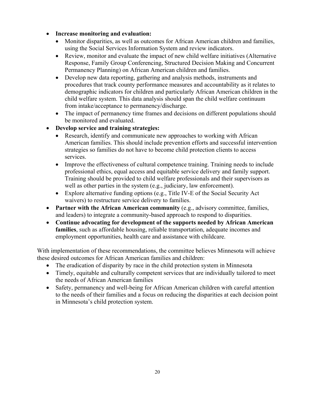#### • **Increase monitoring and evaluation:**

- Monitor disparities, as well as outcomes for African American children and families, using the Social Services Information System and review indicators.
- Review, monitor and evaluate the impact of new child welfare initiatives (Alternative Response, Family Group Conferencing, Structured Decision Making and Concurrent Permanency Planning) on African American children and families.
- Develop new data reporting, gathering and analysis methods, instruments and procedures that track county performance measures and accountability as it relates to demographic indicators for children and particularly African American children in the child welfare system. This data analysis should span the child welfare continuum from intake/acceptance to permanency/discharge.
- The impact of permanency time frames and decisions on different populations should be monitored and evaluated.

#### • **Develop service and training strategies:**

- Research, identify and communicate new approaches to working with African American families. This should include prevention efforts and successful intervention strategies so families do not have to become child protection clients to access services.
- Improve the effectiveness of cultural competence training. Training needs to include professional ethics, equal access and equitable service delivery and family support. Training should be provided to child welfare professionals and their supervisors as well as other parties in the system (e.g., judiciary, law enforcement).
- Explore alternative funding options (e.g., Title IV-E of the Social Security Act waivers) to restructure service delivery to families.
- **Partner with the African American community** (e.g., advisory committee, families, and leaders) to integrate a community-based approach to respond to disparities.
- **Continue advocating for development of the supports needed by African American families**, such as affordable housing, reliable transportation, adequate incomes and employment opportunities, health care and assistance with childcare.

With implementation of these recommendations, the committee believes Minnesota will achieve these desired outcomes for African American families and children:

- The eradication of disparity by race in the child protection system in Minnesota
- Timely, equitable and culturally competent services that are individually tailored to meet the needs of African American families
- Safety, permanency and well-being for African American children with careful attention to the needs of their families and a focus on reducing the disparities at each decision point in Minnesota's child protection system.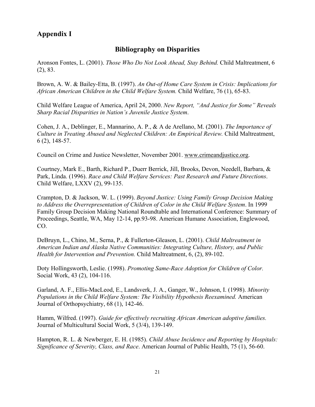## **Appendix I**

### **Bibliography on Disparities**

Aronson Fontes, L. (2001). *Those Who Do Not Look Ahead, Stay Behind.* Child Maltreatment, 6 (2), 83.

Brown, A. W. & Bailey-Etta, B. (1997). *An Out-of Home Care System in Crisis: Implications for African American Children in the Child Welfare System.* Child Welfare, 76 (1), 65-83.

Child Welfare League of America, April 24, 2000. *New Report, "And Justice for Some" Reveals Sharp Racial Disparities in Nation's Juvenile Justice System*.

Cohen, J. A., Deblinger, E., Mannarino, A. P., & A de Arellano, M. (2001). *The Importance of Culture in Treating Abused and Neglected Children: An Empirical Review.* Child Maltreatment, 6 (2), 148-57.

Council on Crime and Justice Newsletter, November 2001. www.crimeandjustice.org.

Courtney, Mark E., Barth, Richard P., Duerr Berrick, Jill, Brooks, Devon, Needell, Barbara, & Park, Linda. (1996). *Race and Child Welfare Services: Past Research and Future Directions*. Child Welfare, LXXV (2), 99-135.

Crampton, D. & Jackson, W. L. (1999). *Beyond Justice: Using Family Group Decision Making to Address the Overrepresentation of Children of Color in the Child Welfare System*. In 1999 Family Group Decision Making National Roundtable and International Conference: Summary of Proceedings, Seattle, WA, May 12-14, pp.93-98. American Humane Association, Englewood, CO.

DeBruyn, L., Chino, M., Serna, P., & Fullerton-Gleason, L. (2001). *Child Maltreatment in American Indian and Alaska Native Communities: Integrating Culture, History, and Public Health for Intervention and Prevention.* Child Maltreatment, 6, (2), 89-102.

Doty Hollingsworth, Leslie. (1998). *Promoting Same-Race Adoption for Children of Color.* Social Work, 43 (2), 104-116.

Garland, A. F., Ellis-MacLeod, E., Landsverk, J. A., Ganger, W., Johnson, I. (1998). *Minority Populations in the Child Welfare System: The Visibility Hypothesis Reexamined.* American Journal of Orthopsychiatry, 68 (1), 142-46.

Hamm, Wilfred. (1997). *Guide for effectively recruiting African American adoptive families.*  Journal of Multicultural Social Work, 5 (3/4), 139-149.

Hampton, R. L. & Newberger, E. H. (1985). *Child Abuse Incidence and Reporting by Hospitals: Significance of Severity, Class, and Race*. American Journal of Public Health, 75 (1), 56-60.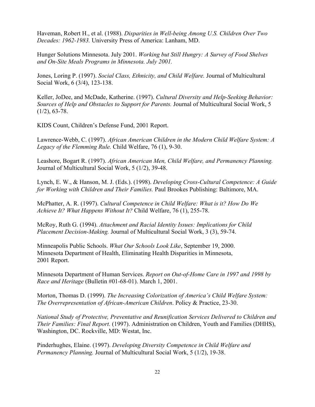Haveman, Robert H., et al. (1988). *Disparities in Well-being Among U.S. Children Over Two Decades: 1962-1983.* University Press of America: Lanham, MD.

Hunger Solutions Minnesota. July 2001. *Working but Still Hungry: A Survey of Food Shelves and On-Site Meals Programs in Minnesota. July 2001.* 

Jones, Loring P. (1997). *Social Class, Ethnicity, and Child Welfare.* Journal of Multicultural Social Work, 6 (3/4), 123-138.

Keller, JoDee, and McDade, Katherine. (1997). *Cultural Diversity and Help-Seeking Behavior: Sources of Help and Obstacles to Support for Parents.* Journal of Multicultural Social Work, 5  $(1/2)$ , 63-78.

KIDS Count, Children's Defense Fund, 2001 Report.

Lawrence-Webb, C. (1997). *African American Children in the Modern Child Welfare System: A Legacy of the Flemming Rule.* Child Welfare, 76 (1), 9-30.

Leashore, Bogart R. (1997). *African American Men, Child Welfare, and Permanency Planning.*  Journal of Multicultural Social Work, 5 (1/2), 39-48.

Lynch, E. W., & Hanson, M. J. (Eds.). (1998). *Developing Cross-Cultural Competence: A Guide for Working with Children and Their Families.* Paul Brookes Publishing: Baltimore, MA.

McPhatter, A. R. (1997). *Cultural Competence in Child Welfare: What is it? How Do We Achieve It? What Happens Without It?* Child Welfare, 76 (1), 255-78.

McRoy, Ruth G. (1994). *Attachment and Racial Identity Issues: Implications for Child Placement Decision-Making.* Journal of Multicultural Social Work, 3 (3), 59-74.

Minneapolis Public Schools. *What Our Schools Look Like*, September 19, 2000. Minnesota Department of Health, Eliminating Health Disparities in Minnesota, 2001 Report.

Minnesota Department of Human Services. *Report on Out-of-Home Care in 1997 and 1998 by Race and Heritage* (Bulletin #01-68-01). March 1, 2001.

Morton, Thomas D. (1999). *The Increasing Colorization of America's Child Welfare System: The Overrepresentation of African-American Children*. Policy & Practice, 23-30.

*National Study of Protective, Preventative and Reunification Services Delivered to Children and Their Families: Final Report.* (1997). Administration on Children, Youth and Families (DHHS), Washington, DC. Rockville, MD: Westat, Inc.

Pinderhughes, Elaine. (1997). *Developing Diversity Competence in Child Welfare and Permanency Planning.* Journal of Multicultural Social Work, 5 (1/2), 19-38.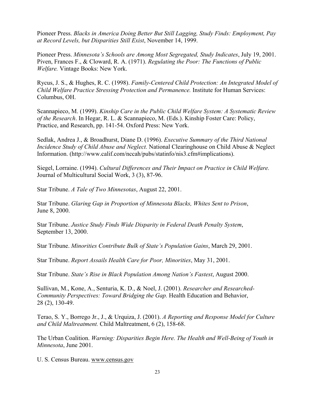Pioneer Press. *Blacks in America Doing Better But Still Lagging, Study Finds: Employment, Pay at Record Levels, but Disparities Still Exist*, November 14, 1999.

Pioneer Press. *Minnesota's Schools are Among Most Segregated, Study Indicates*, July 19, 2001. Piven, Frances F., & Cloward, R. A. (1971). *Regulating the Poor: The Functions of Public Welfare.* Vintage Books: New York.

Rycus, J. S., & Hughes, R. C. (1998). *Family-Centered Child Protection: An Integrated Model of Child Welfare Practice Stressing Protection and Permanence.* Institute for Human Services: Columbus, OH.

Scannapieco, M. (1999). *Kinship Care in the Public Child Welfare System: A Systematic Review of the Research*. In Hegar, R. L. & Scannapieco, M. (Eds.). Kinship Foster Care: Policy, Practice, and Research, pp. 141-54. Oxford Press: New York.

Sedlak, Andrea J., & Broadhurst, Diane D. (1996). *Executive Summary of the Third National Incidence Study of Child Abuse and Neglect.* National Clearinghouse on Child Abuse & Neglect Information. (http://www.calif.com/nccah/pubs/statinfo/nis3.cfm#implications).

Siegel, Lorraine. (1994). *Cultural Differences and Their Impact on Practice in Child Welfare.* Journal of Multicultural Social Work, 3 (3), 87-96.

Star Tribune. *A Tale of Two Minnesotas*, August 22, 2001.

Star Tribune. *Glaring Gap in Proportion of Minnesota Blacks, Whites Sent to Prison*, June 8, 2000.

Star Tribune. *Justice Study Finds Wide Disparity in Federal Death Penalty System*, September 13, 2000.

Star Tribune. *Minorities Contribute Bulk of State's Population Gains*, March 29, 2001.

Star Tribune. *Report Assails Health Care for Poor, Minorities*, May 31, 2001.

Star Tribune. *State's Rise in Black Population Among Nation's Fastest*, August 2000.

Sullivan, M., Kone, A., Senturia, K. D., & Noel, J. (2001). *Researcher and Researched-Community Perspectives: Toward Bridging the Gap.* Health Education and Behavior, 28 (2), 130-49.

Terao, S. Y., Borrego Jr., J., & Urquiza, J. (2001). *A Reporting and Response Model for Culture and Child Maltreatment.* Child Maltreatment, 6 (2), 158-68.

The Urban Coalition. *Warning: Disparities Begin Here. The Health and Well-Being of Youth in Minnesota*, June 2001.

U. S. Census Bureau. www.census.gov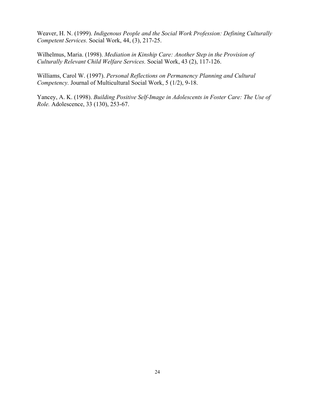Weaver, H. N. (1999). *Indigenous People and the Social Work Profession: Defining Culturally Competent Services.* Social Work, 44, (3), 217-25.

Wilhelmus, Maria. (1998). *Mediation in Kinship Care: Another Step in the Provision of Culturally Relevant Child Welfare Services.* Social Work, 43 (2), 117-126.

Williams, Carol W. (1997). *Personal Reflections on Permanency Planning and Cultural Competency.* Journal of Multicultural Social Work, 5 (1/2), 9-18.

Yancey, A. K. (1998). *Building Positive Self-Image in Adolescents in Foster Care: The Use of Role.* Adolescence, 33 (130), 253-67.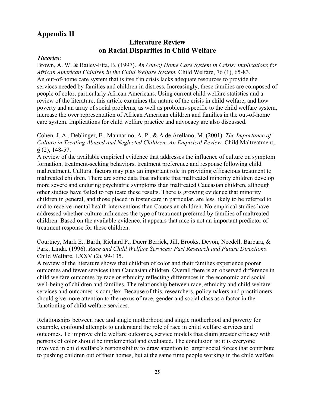### **Appendix II**

### **Literature Review on Racial Disparities in Child Welfare**

#### *Theories*:

Brown, A. W. & Bailey-Etta, B. (1997). *An Out-of Home Care System in Crisis: Implications for African American Children in the Child Welfare System.* Child Welfare, 76 (1), 65-83. An out-of-home care system that is itself in crisis lacks adequate resources to provide the services needed by families and children in distress. Increasingly, these families are composed of people of color, particularly African Americans. Using current child welfare statistics and a review of the literature, this article examines the nature of the crisis in child welfare, and how poverty and an array of social problems, as well as problems specific to the child welfare system, increase the over representation of African American children and families in the out-of-home care system. Implications for child welfare practice and advocacy are also discussed.

Cohen, J. A., Deblinger, E., Mannarino, A. P., & A de Arellano, M. (2001). *The Importance of Culture in Treating Abused and Neglected Children: An Empirical Review.* Child Maltreatment, 6 (2), 148-57.

A review of the available empirical evidence that addresses the influence of culture on symptom formation, treatment-seeking behaviors, treatment preference and response following child maltreatment. Cultural factors may play an important role in providing efficacious treatment to maltreated children. There are some data that indicate that maltreated minority children develop more severe and enduring psychiatric symptoms than maltreated Caucasian children, although other studies have failed to replicate these results. There is growing evidence that minority children in general, and those placed in foster care in particular, are less likely to be referred to and to receive mental health interventions than Caucasian children. No empirical studies have addressed whether culture influences the type of treatment preferred by families of maltreated children. Based on the available evidence, it appears that race is not an important predictor of treatment response for these children.

Courtney, Mark E., Barth, Richard P., Duerr Berrick, Jill, Brooks, Devon, Needell, Barbara, & Park, Linda. (1996). *Race and Child Welfare Services: Past Research and Future Directions*. Child Welfare, LXXV (2), 99-135.

A review of the literature shows that children of color and their families experience poorer outcomes and fewer services than Caucasian children. Overall there is an observed difference in child welfare outcomes by race or ethnicity reflecting differences in the economic and social well-being of children and families. The relationship between race, ethnicity and child welfare services and outcomes is complex. Because of this, researchers, policymakers and practitioners should give more attention to the nexus of race, gender and social class as a factor in the functioning of child welfare services.

Relationships between race and single motherhood and single motherhood and poverty for example, confound attempts to understand the role of race in child welfare services and outcomes. To improve child welfare outcomes, service models that claim greater efficacy with persons of color should be implemented and evaluated. The conclusion is: it is everyone involved in child welfare's responsibility to draw attention to larger social forces that contribute to pushing children out of their homes, but at the same time people working in the child welfare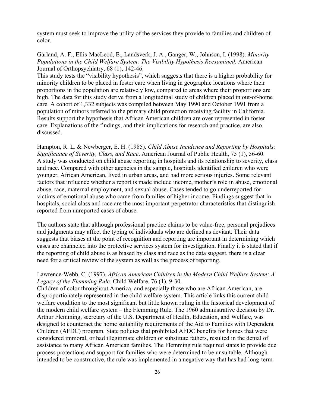system must seek to improve the utility of the services they provide to families and children of color.

Garland, A. F., Ellis-MacLeod, E., Landsverk, J. A., Ganger, W., Johnson, I. (1998). *Minority Populations in the Child Welfare System: The Visibility Hypothesis Reexamined.* American Journal of Orthopsychiatry, 68 (1), 142-46.

This study tests the "visibility hypothesis", which suggests that there is a higher probability for minority children to be placed in foster care when living in geographic locations where their proportions in the population are relatively low, compared to areas where their proportions are high. The data for this study derive from a longitudinal study of children placed in out-of-home care. A cohort of 1,332 subjects was compiled between May 1990 and October 1991 from a population of minors referred to the primary child protection receiving facility in California. Results support the hypothesis that African American children are over represented in foster care. Explanations of the findings, and their implications for research and practice, are also discussed.

Hampton, R. L. & Newberger, E. H. (1985). *Child Abuse Incidence and Reporting by Hospitals: Significance of Severity, Class, and Race*. American Journal of Public Health, 75 (1), 56-60. A study was conducted on child abuse reporting in hospitals and its relationship to severity, class and race. Compared with other agencies in the sample, hospitals identified children who were younger, African American, lived in urban areas, and had more serious injuries. Some relevant factors that influence whether a report is made include income, mother's role in abuse, emotional abuse, race, maternal employment, and sexual abuse. Cases tended to go underreported for victims of emotional abuse who came from families of higher income. Findings suggest that in hospitals, social class and race are the most important perpetrator characteristics that distinguish reported from unreported cases of abuse.

The authors state that although professional practice claims to be value-free, personal prejudices and judgments may affect the typing of individuals who are defined as deviant. Their data suggests that biases at the point of recognition and reporting are important in determining which cases are channeled into the protective services system for investigation. Finally it is stated that if the reporting of child abuse is as biased by class and race as the data suggest, there is a clear need for a critical review of the system as well as the process of reporting.

#### Lawrence-Webb, C. (1997). *African American Children in the Modern Child Welfare System: A Legacy of the Flemming Rule.* Child Welfare, 76 (1), 9-30.

Children of color throughout America, and especially those who are African American, are disproportionately represented in the child welfare system. This article links this current child welfare condition to the most significant but little known ruling in the historical development of the modern child welfare system – the Flemming Rule. The 1960 administrative decision by Dr. Arthur Flemming, secretary of the U.S. Department of Health, Education, and Welfare, was designed to counteract the home suitability requirements of the Aid to Families with Dependent Children (AFDC) program. State policies that prohibited AFDC benefits for homes that were considered immoral, or had illegitimate children or substitute fathers, resulted in the denial of assistance to many African American families. The Flemming rule required states to provide due process protections and support for families who were determined to be unsuitable. Although intended to be constructive, the rule was implemented in a negative way that has had long-term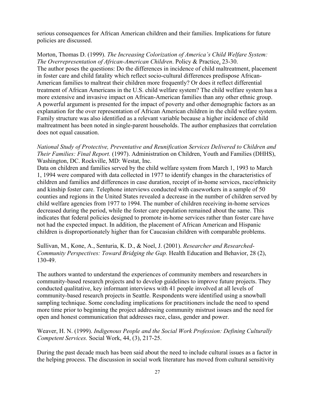serious consequences for African American children and their families. Implications for future policies are discussed.

Morton, Thomas D. (1999). *The Increasing Colorization of America's Child Welfare System: The Overrepresentation of African-American Children*. Policy & Practice, 23-30. The author poses the questions: Do the differences in incidence of child maltreatment, placement in foster care and child fatality which reflect socio-cultural differences predispose African-American families to maltreat their children more frequently? Or does it reflect differential treatment of African Americans in the U.S. child welfare system? The child welfare system has a more extensive and invasive impact on African-American families than any other ethnic group. A powerful argument is presented for the impact of poverty and other demographic factors as an explanation for the over representation of African American children in the child welfare system. Family structure was also identified as a relevant variable because a higher incidence of child maltreatment has been noted in single-parent households. The author emphasizes that correlation does not equal causation.

*National Study of Protective, Preventative and Reunification Services Delivered to Children and Their Families: Final Report.* (1997). Administration on Children, Youth and Families (DHHS), Washington, DC. Rockville, MD: Westat, Inc.

Data on children and families served by the child welfare system from March 1, 1993 to March 1, 1994 were compared with data collected in 1977 to identify changes in the characteristics of children and families and differences in case duration, receipt of in-home services, race/ethnicity and kinship foster care. Telephone interviews conducted with caseworkers in a sample of 50 counties and regions in the United States revealed a decrease in the number of children served by child welfare agencies from 1977 to 1994. The number of children receiving in-home services decreased during the period, while the foster care population remained about the same. This indicates that federal policies designed to promote in-home services rather than foster care have not had the expected impact. In addition, the placement of African American and Hispanic children is disproportionately higher than for Caucasian children with comparable problems.

Sullivan, M., Kone, A., Senturia, K. D., & Noel, J. (2001). *Researcher and Researched-Community Perspectives: Toward Bridging the Gap.* Health Education and Behavior, 28 (2), 130-49.

The authors wanted to understand the experiences of community members and researchers in community-based research projects and to develop guidelines to improve future projects. They conducted qualitative, key informant interviews with 41 people involved at all levels of community-based research projects in Seattle. Respondents were identified using a snowball sampling technique. Some concluding implications for practitioners include the need to spend more time prior to beginning the project addressing community mistrust issues and the need for open and honest communication that addresses race, class, gender and power.

Weaver, H. N. (1999). *Indigenous People and the Social Work Profession: Defining Culturally Competent Services.* Social Work, 44, (3), 217-25.

During the past decade much has been said about the need to include cultural issues as a factor in the helping process. The discussion in social work literature has moved from cultural sensitivity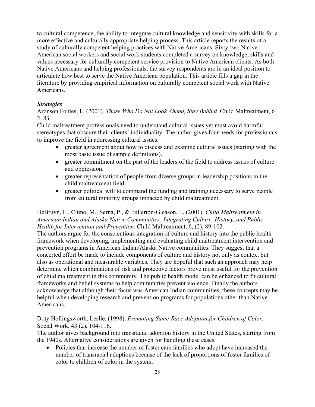to cultural competence, the ability to integrate cultural knowledge and sensitivity with skills for a more effective and culturally appropriate helping process. This article reports the results of a study of culturally competent helping practices with Native Americans. Sixty-two Native American social workers and social work students completed a survey on knowledge, skills and values necessary for culturally competent service provision to Native American clients. As both Native Americans and helping professionals, the survey respondents are in an ideal position to articulate how best to serve the Native American population. This article fills a gap in the literature by providing empirical information on culturally competent social work with Native Americans.

#### *Strategies*:

Aronson Fontes, L. (2001). *Those Who Do Not Look Ahead, Stay Behind.* Child Maltreatment, 6 2, 83.

Child maltreatment professionals need to understand cultural issues yet must avoid harmful stereotypes that obscure their clients' individuality. The author gives four needs for professionals to improve the field in addressing cultural issues:

- greater agreement about how to discuss and examine cultural issues (starting with the most basic issue of sample definitions).
- greater commitment on the part of the leaders of the field to address issues of culture and oppression.
- greater representation of people from diverse groups in leadership positions in the child maltreatment field.
- greater political will to command the funding and training necessary to serve people from cultural minority groups impacted by child maltreatment.

#### DeBruyn, L., Chino, M., Serna, P., & Fullerton-Gleason, L. (2001). *Child Maltreatment in American Indian and Alaska Native Communities: Integrating Culture, History, and Public Health for Intervention and Prevention.* Child Maltreatment, 6, (2), 89-102.

The authors argue for the conscientious integration of culture and history into the public health framework when developing, implementing and evaluating child maltreatment intervention and prevention programs in American Indian/Alaska Native communities. They suggest that a concerted effort be made to include components of culture and history not only as context but also as operational and measurable variables. They are hopeful that such an approach may help determine which combinations of risk and protective factors prove most useful for the prevention of child maltreatment in this community. The public health model can be enhanced to fit cultural frameworks and belief systems to help communities prevent violence. Finally the authors acknowledge that although their focus was American Indian communities, these concepts may be helpful when developing research and prevention programs for populations other than Native Americans.

Doty Hollingsworth, Leslie. (1998). *Promoting Same-Race Adoption for Children of Color.* Social Work, 43 (2), 104-116.

The author gives background into transracial adoption history in the United States, starting from the 1940s. Alternative considerations are given for handling these cases.

• Policies that increase the number of foster care families who adopt have increased the number of transracial adoptions because of the lack of proportions of foster families of color to children of color in the system.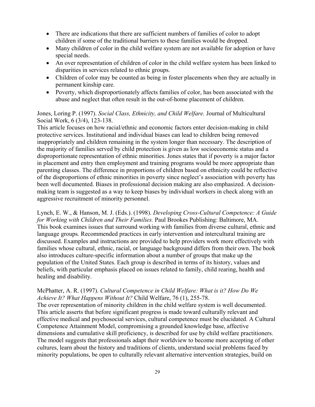- There are indications that there are sufficient numbers of families of color to adopt children if some of the traditional barriers to these families would be dropped.
- Many children of color in the child welfare system are not available for adoption or have special needs.
- An over representation of children of color in the child welfare system has been linked to disparities in services related to ethnic groups.
- Children of color may be counted as being in foster placements when they are actually in permanent kinship care.
- Poverty, which disproportionately affects families of color, has been associated with the abuse and neglect that often result in the out-of-home placement of children.

#### Jones, Loring P. (1997). *Social Class, Ethnicity, and Child Welfare.* Journal of Multicultural Social Work, 6 (3/4), 123-138.

This article focuses on how racial/ethnic and economic factors enter decision-making in child protective services. Institutional and individual biases can lead to children being removed inappropriately and children remaining in the system longer than necessary. The description of the majority of families served by child protection is given as low socioeconomic status and a disproportionate representation of ethnic minorities. Jones states that if poverty is a major factor in placement and entry then employment and training programs would be more appropriate than parenting classes. The difference in proportions of children based on ethnicity could be reflective of the disproportions of ethnic minorities in poverty since neglect's association with poverty has been well documented. Biases in professional decision making are also emphasized. A decisionmaking team is suggested as a way to keep biases by individual workers in check along with an aggressive recruitment of minority personnel.

Lynch, E. W., & Hanson, M. J. (Eds.). (1998). *Developing Cross-Cultural Competence: A Guide for Working with Children and Their Families.* Paul Brookes Publishing: Baltimore, MA. This book examines issues that surround working with families from diverse cultural, ethnic and language groups. Recommended practices in early intervention and intercultural training are discussed. Examples and instructions are provided to help providers work more effectively with families whose cultural, ethnic, racial, or language background differs from their own. The book also introduces culture-specific information about a number of groups that make up the population of the United States. Each group is described in terms of its history, values and beliefs, with particular emphasis placed on issues related to family, child rearing, health and healing and disability.

#### McPhatter, A. R. (1997). *Cultural Competence in Child Welfare: What is it? How Do We Achieve It? What Happens Without It?* Child Welfare, 76 (1), 255-78.

The over representation of minority children in the child welfare system is well documented. This article asserts that before significant progress is made toward culturally relevant and effective medical and psychosocial services, cultural competence must be elucidated. A Cultural Competence Attainment Model, compromising a grounded knowledge base, affective dimensions and cumulative skill proficiency, is described for use by child welfare practitioners. The model suggests that professionals adapt their worldview to become more accepting of other cultures, learn about the history and traditions of clients, understand social problems faced by minority populations, be open to culturally relevant alternative intervention strategies, build on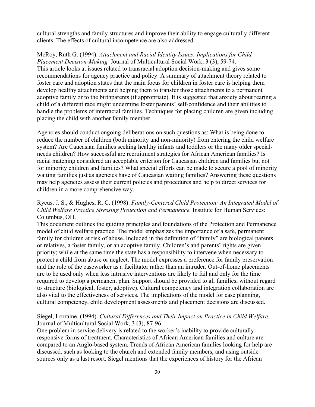cultural strengths and family structures and improve their ability to engage culturally different clients. The effects of cultural incompetence are also addressed.

McRoy, Ruth G. (1994). *Attachment and Racial Identity Issues: Implications for Child Placement Decision-Making.* Journal of Multicultural Social Work, 3 (3), 59-74. This article looks at issues related to transracial adoption decision-making and gives some recommendations for agency practice and policy. A summary of attachment theory related to foster care and adoption states that the main focus for children in foster care is helping them develop healthy attachments and helping them to transfer those attachments to a permanent adoptive family or to the birthparents (if appropriate). It is suggested that anxiety about rearing a child of a different race might undermine foster parents' self-confidence and their abilities to handle the problems of interracial families. Techniques for placing children are given including placing the child with another family member.

Agencies should conduct ongoing deliberations on such questions as: What is being done to reduce the number of children (both minority and non-minority) from entering the child welfare system? Are Caucasian families seeking healthy infants and toddlers or the many older specialneeds children? How successful are recruitment strategies for African American families? Is racial matching considered an acceptable criterion for Caucasian children and families but not for minority children and families? What special efforts can be made to secure a pool of minority waiting families just as agencies have of Caucasian waiting families? Answering these questions may help agencies assess their current policies and procedures and help to direct services for children in a more comprehensive way.

#### Rycus, J. S., & Hughes, R. C. (1998). *Family-Centered Child Protection: An Integrated Model of Child Welfare Practice Stressing Protection and Permanence.* Institute for Human Services: Columbus, OH.

This document outlines the guiding principles and foundations of the Protection and Permanence model of child welfare practice. The model emphasizes the importance of a safe, permanent family for children at risk of abuse. Included in the definition of "family" are biological parents or relatives, a foster family, or an adoptive family. Children's and parents' rights are given priority; while at the same time the state has a responsibility to intervene when necessary to protect a child from abuse or neglect. The model expresses a preference for family preservation and the role of the caseworker as a facilitator rather than an intruder. Out-of-home placements are to be used only when less intrusive interventions are likely to fail and only for the time required to develop a permanent plan. Support should be provided to all families, without regard to structure (biological, foster, adoptive). Cultural competency and integration collaboration are also vital to the effectiveness of services. The implications of the model for case planning, cultural competency, child development assessments and placement decisions are discussed.

#### Siegel, Lorraine. (1994). *Cultural Differences and Their Impact on Practice in Child Welfare.* Journal of Multicultural Social Work, 3 (3), 87-96.

One problem in service delivery is related to the worker's inability to provide culturally responsive forms of treatment. Characteristics of African American families and culture are compared to an Anglo-based system. Trends of African American families looking for help are discussed, such as looking to the church and extended family members, and using outside sources only as a last resort. Siegel mentions that the experiences of history for the African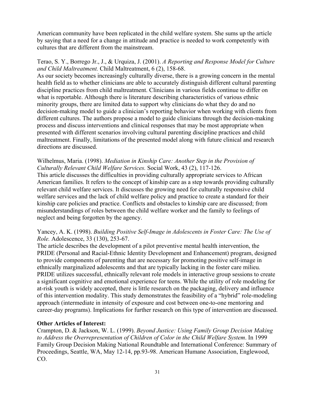American community have been replicated in the child welfare system. She sums up the article by saying that a need for a change in attitude and practice is needed to work competently with cultures that are different from the mainstream.

#### Terao, S. Y., Borrego Jr., J., & Urquiza, J. (2001). *A Reporting and Response Model for Culture and Child Maltreatment.* Child Maltreatment, 6 (2), 158-68.

As our society becomes increasingly culturally diverse, there is a growing concern in the mental health field as to whether clinicians are able to accurately distinguish different cultural parenting discipline practices from child maltreatment. Clinicians in various fields continue to differ on what is reportable. Although there is literature describing characteristics of various ethnic minority groups, there are limited data to support why clinicians do what they do and no decision-making model to guide a clinician's reporting behavior when working with clients from different cultures. The authors propose a model to guide clinicians through the decision-making process and discuss interventions and clinical responses that may be most appropriate when presented with different scenarios involving cultural parenting discipline practices and child maltreatment. Finally, limitations of the presented model along with future clinical and research directions are discussed.

#### Wilhelmus, Maria. (1998). *Mediation in Kinship Care: Another Step in the Provision of Culturally Relevant Child Welfare Services.* Social Work, 43 (2), 117-126.

This article discusses the difficulties in providing culturally appropriate services to African American families. It refers to the concept of kinship care as a step towards providing culturally relevant child welfare services. It discusses the growing need for culturally responsive child welfare services and the lack of child welfare policy and practice to create a standard for their kinship care policies and practice. Conflicts and obstacles to kinship care are discussed; from misunderstandings of roles between the child welfare worker and the family to feelings of neglect and being forgotten by the agency.

#### Yancey, A. K. (1998). *Building Positive Self-Image in Adolescents in Foster Care: The Use of Role.* Adolescence, 33 (130), 253-67.

The article describes the development of a pilot preventive mental health intervention, the PRIDE (Personal and Racial-Ethnic Identity Development and Enhancement) program, designed to provide components of parenting that are necessary for promoting positive self-image in ethnically marginalized adolescents and that are typically lacking in the foster care milieu. PRIDE utilizes successful, ethnically relevant role models in interactive group sessions to create a significant cognitive and emotional experience for teens. While the utility of role modeling for at-risk youth is widely accepted, there is little research on the packaging, delivery and influence of this intervention modality. This study demonstrates the feasibility of a "hybrid" role-modeling approach (intermediate in intensity of exposure and cost between one-to-one mentoring and career-day programs). Implications for further research on this type of intervention are discussed.

#### **Other Articles of Interest:**

Crampton, D. & Jackson, W. L. (1999). *Beyond Justice: Using Family Group Decision Making to Address the Overrepresentation of Children of Color in the Child Welfare System*. In 1999 Family Group Decision Making National Roundtable and International Conference: Summary of Proceedings, Seattle, WA, May 12-14, pp.93-98. American Humane Association, Englewood, CO.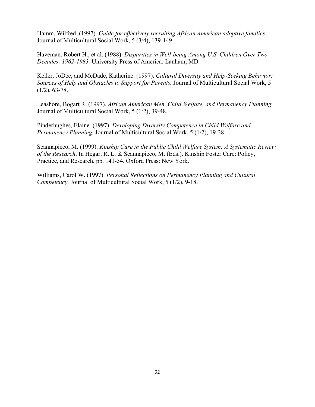Hamm, Wilfred. (1997). *Guide for effectively recruiting African American adoptive families.*  Journal of Multicultural Social Work, 5 (3/4), 139-149.

Haveman, Robert H., et al. (1988). *Disparities in Well-being Among U.S. Children Over Two Decades: 1962-1983.* University Press of America: Lanham, MD.

Keller, JoDee, and McDade, Katherine. (1997). *Cultural Diversity and Help-Seeking Behavior: Sources of Help and Obstacles to Support for Parents.* Journal of Multicultural Social Work, 5  $(1/2)$ , 63-78.

Leashore, Bogart R. (1997). *African American Men, Child Welfare, and Permanency Planning.*  Journal of Multicultural Social Work, 5 (1/2), 39-48.

Pinderhughes, Elaine. (1997). *Developing Diversity Competence in Child Welfare and Permanency Planning.* Journal of Multicultural Social Work, 5 (1/2), 19-38.

Scannapieco, M. (1999). *Kinship Care in the Public Child Welfare System: A Systematic Review of the Research*. In Hegar, R. L. & Scannapieco, M. (Eds.). Kinship Foster Care: Policy, Practice, and Research, pp. 141-54. Oxford Press: New York.

Williams, Carol W. (1997). *Personal Reflections on Permanency Planning and Cultural Competency.* Journal of Multicultural Social Work, 5 (1/2), 9-18.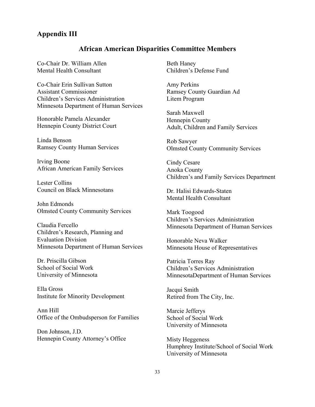#### **Appendix III**

### **African American Disparities Committee Members**

Co-Chair Dr. William Allen Mental Health Consultant

Co-Chair Erin Sullivan Sutton Assistant Commissioner Children's Services Administration Minnesota Department of Human Services

Honorable Pamela Alexander Hennepin County District Court

Linda Benson Ramsey County Human Services

Irving Boone African American Family Services

Lester Collins Council on Black Minnesotans

John Edmonds Olmsted County Community Services

Claudia Fercello Children's Research, Planning and Evaluation Division Minnesota Department of Human Services

Dr. Priscilla Gibson School of Social Work University of Minnesota

Ella Gross Institute for Minority Development

Ann Hill Office of the Ombudsperson for Families

Don Johnson, J.D. Hennepin County Attorney's Office Beth Haney Children's Defense Fund

Amy Perkins Ramsey County Guardian Ad Litem Program

Sarah Maxwell Hennepin County Adult, Children and Family Services

Rob Sawyer Olmsted County Community Services

Cindy Cesare Anoka County Children's and Family Services Department

Dr. Halisi Edwards-Staten Mental Health Consultant

Mark Toogood Children's Services Administration Minnesota Department of Human Services

Honorable Neva Walker Minnesota House of Representatives

Patricia Torres Ray Children's Services Administration MinnesotaDepartment of Human Services

Jacqui Smith Retired from The City, Inc.

Marcie Jefferys School of Social Work University of Minnesota

Misty Heggeness Humphrey Institute/School of Social Work University of Minnesota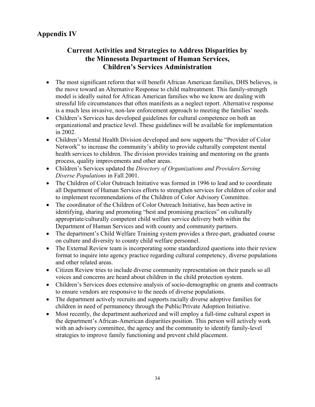# **Appendix IV**

# **Current Activities and Strategies to Address Disparities by the Minnesota Department of Human Services, Children's Services Administration**

- The most significant reform that will benefit African American families, DHS believes, is the move toward an Alternative Response to child maltreatment. This family-strength model is ideally suited for African American families who we know are dealing with stressful life circumstances that often manifests as a neglect report. Alternative response is a much less invasive, non-law enforcement approach to meeting the families' needs.
- Children's Services has developed guidelines for cultural competence on both an organizational and practice level. These guidelines will be available for implementation in 2002.
- Children's Mental Health Division developed and now supports the "Provider of Color" Network" to increase the community's ability to provide culturally competent mental health services to children. The division provides training and mentoring on the grants process, quality improvements and other areas.
- Children's Services updated the *Directory of Organizations and Providers Serving Diverse Populations* in Fall 2001.
- The Children of Color Outreach Initiative was formed in 1996 to lead and to coordinate all Department of Human Services efforts to strengthen services for children of color and to implement recommendations of the Children of Color Advisory Committee.
- The coordinator of the Children of Color Outreach Initiative, has been active in identifying, sharing and promoting "best and promising practices" on culturally appropriate/culturally competent child welfare service delivery both within the Department of Human Services and with county and community partners.
- The department's Child Welfare Training system provides a three-part, graduated course on culture and diversity to county child welfare personnel.
- The External Review team is incorporating some standardized questions into their review format to inquire into agency practice regarding cultural competency, diverse populations and other related areas.
- Citizen Review tries to include diverse community representation on their panels so all voices and concerns are heard about children in the child protection system.
- Children's Services does extensive analysis of socio-demographic on grants and contracts to ensure vendors are responsive to the needs of diverse populations.
- The department actively recruits and supports racially diverse adoptive families for children in need of permanency through the Public/Private Adoption Initiative.
- Most recently, the department authorized and will employ a full-time cultural expert in the department's African-American disparities position. This person will actively work with an advisory committee, the agency and the community to identify family-level strategies to improve family functioning and prevent child placement.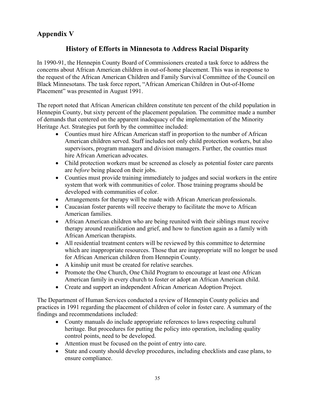# **Appendix V**

# **History of Efforts in Minnesota to Address Racial Disparity**

In 1990-91, the Hennepin County Board of Commissioners created a task force to address the concerns about African American children in out-of-home placement. This was in response to the request of the African American Children and Family Survival Committee of the Council on Black Minnesotans. The task force report, "African American Children in Out-of-Home Placement" was presented in August 1991.

The report noted that African American children constitute ten percent of the child population in Hennepin County, but sixty percent of the placement population. The committee made a number of demands that centered on the apparent inadequacy of the implementation of the Minority Heritage Act. Strategies put forth by the committee included:

- Counties must hire African American staff in proportion to the number of African American children served. Staff includes not only child protection workers, but also supervisors, program managers and division managers. Further, the counties must hire African American advocates.
- Child protection workers must be screened as closely as potential foster care parents are *before* being placed on their jobs.
- Counties must provide training immediately to judges and social workers in the entire system that work with communities of color. Those training programs should be developed with communities of color.
- Arrangements for therapy will be made with African American professionals.
- Caucasian foster parents will receive therapy to facilitate the move to African American families.
- African American children who are being reunited with their siblings must receive therapy around reunification and grief, and how to function again as a family with African American therapists.
- All residential treatment centers will be reviewed by this committee to determine which are inappropriate resources. Those that are inappropriate will no longer be used for African American children from Hennepin County.
- A kinship unit must be created for relative searches.
- Promote the One Church, One Child Program to encourage at least one African American family in every church to foster or adopt an African American child.
- Create and support an independent African American Adoption Project.

The Department of Human Services conducted a review of Hennepin County policies and practices in 1991 regarding the placement of children of color in foster care. A summary of the findings and recommendations included:

- County manuals do include appropriate references to laws respecting cultural heritage. But procedures for putting the policy into operation, including quality control points, need to be developed.
- Attention must be focused on the point of entry into care.
- State and county should develop procedures, including checklists and case plans, to ensure compliance.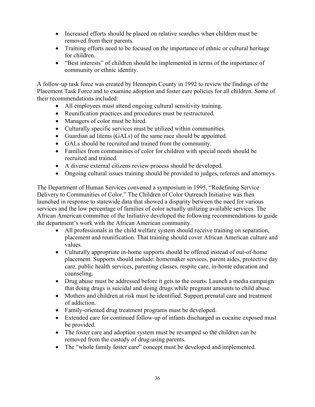- Increased efforts should be placed on relative searches when children must be removed from their parents.
- Training efforts need to be focused on the importance of ethnic or cultural heritage for children.
- "Best interests" of children should be implemented in terms of the importance of community or ethnic identity.

A follow-up task force was created by Hennepin County in 1992 to review the findings of the Placement Task Force and to examine adoption and foster care policies for all children. Some of their recommendations included:

- All employees must attend ongoing cultural sensitivity training.
- Reunification practices and procedures must be restructured.
- Managers of color must be hired.
- Culturally specific services must be utilized within communities.
- Guardian ad litems (GALs) of the same race should be appointed.
- GALs should be recruited and trained from the community.
- Families from communities of color for children with special needs should be recruited and trained.
- A diverse external citizens review process should be developed.
- Ongoing cultural issues training should be provided to judges, referees and attorneys.

The Department of Human Services convened a symposium in 1995, "Redefining Service Delivery to Communities of Color." The Children of Color Outreach Initiative was then launched in response to statewide data that showed a disparity between the need for various services and the low percentage of families of color actually utilizing available services. The African American committee of the Initiative developed the following recommendations to guide the department's work with the African American community.

- All professionals in the child welfare system should receive training on separation, placement and reunification. That training should cover African American culture and values.
- Culturally appropriate in-home supports should be offered instead of out-of-home placement. Supports should include: homemaker services, parent aides, protective day care, public health services, parenting classes, respite care, in-home education and counseling.
- Drug abuse must be addressed before it gets to the courts. Launch a media campaign that doing drugs is suicidal and doing drugs while pregnant amounts to child abuse.
- Mothers and children at risk must be identified. Support prenatal care and treatment of addiction.
- Family-oriented drug treatment programs must be developed.
- Extended care for continued follow-up of infants discharged as cocaine exposed must be provided.
- The foster care and adoption system must be revamped so the children can be removed from the custody of drug-using parents.
- The "whole family foster care" concept must be developed and implemented.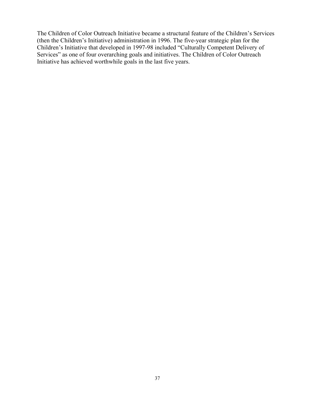The Children of Color Outreach Initiative became a structural feature of the Children's Services (then the Children's Initiative) administration in 1996. The five-year strategic plan for the Children's Initiative that developed in 1997-98 included "Culturally Competent Delivery of Services" as one of four overarching goals and initiatives. The Children of Color Outreach Initiative has achieved worthwhile goals in the last five years.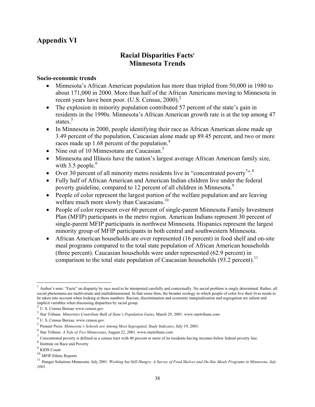# **Appendix VI**

# **Racial Disparities Facts1 Minnesota Trends**

#### **Socio-economic trends**

- Minnesota's African American population has more than tripled from 50,000 in 1980 to about 171,000 in 2000. More than half of the African Americans moving to Minnesota in recent years have been poor. (U.S. Census, 2000).<sup>2</sup>
- The explosion in minority population contributed 57 percent of the state's gain in residents in the 1990s. Minnesota's African American growth rate is at the top among 47 states.<sup>3</sup>
- In Minnesota in 2000, people identifying their race as African American alone made up 3.49 percent of the population, Caucasian alone made up 89.45 percent, and two or more races made up 1.68 percent of the population.<sup>4</sup>
- Nine out of 10 Minnesotans are Caucasian.<sup>5</sup>
- Minnesota and Illinois have the nation's largest average African American family size, with  $3.5$  people.<sup>6</sup>
- Over 30 percent of all minority metro residents live in "concentrated poverty".<sup>3</sup>
- Fully half of African American and American Indian children live under the federal poverty guideline, compared to 12 percent of all children in Minnesota.<sup>9</sup>
- People of color represent the largest portion of the welfare population and are leaving welfare much more slowly than Caucasians.<sup>10</sup>
- People of color represent over 60 percent of single-parent Minnesota Family Investment Plan (MFIP) participants in the metro region. American Indians represent 30 percent of single-parent MFIP participants in northwest Minnesota. Hispanics represent the largest minority group of MFIP participants in both central and southwestern Minnesota.
- African American households are over represented (16 percent) in food shelf and on-site meal programs compared to the total state population of African American households (three percent). Caucasian households were under represented (62.9 percent) in comparison to the total state population of Caucasian households  $(93.2 \text{ percent})$ .<sup>11</sup>

 $\overline{\phantom{a}}$ 

 $<sup>1</sup>$  Author's note: "Facts" on disparity by race need to be interpreted carefully and contextually. No social problem is singly determined. Rather, all</sup> social phenomena are multivariate and multidimensional. In that sense then, the broader ecology in which people of color live their lives needs to be taken into account when looking at these numbers. Racism, discrimination and economic marginalization and segregation are salient and

<sup>&</sup>lt;sup>2</sup> U. S. Census Bureau www.census.gov<br>
<sup>3</sup> Star Tribune. *Minorities Contribute Bulk of State's Population Gains*, March 29, 2001. www.startribune.com<br>
<sup>4</sup> U. S. Census Bureau. www.census.gov.

<sup>5</sup> Pioneer Press. *Minnesota's Schools are Among Most Segregated, Study Indicates*, July 19, 2001.

 $\frac{7}{8}$  Concentrated poverty is defined as a census tract with 40 percent or more of its residents having incomes below federal poverty line.<br><sup>8</sup> Institute on Race and Poverty

 $\frac{9}{10}$  KIDS Count<br> $\frac{10}{10}$  MFIP Ethnic Reports

<sup>&</sup>lt;sup>11</sup> Hunger Solutions Minnesota. July 2001. *Working but Still Hungry: A Survey of Food Shelves and On-Site Meals Programs in Minnesota. July 2001.*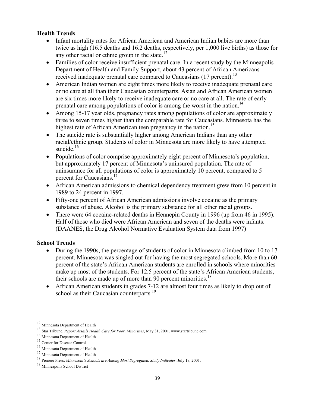#### **Health Trends**

- Infant mortality rates for African American and American Indian babies are more than twice as high (16.5 deaths and 16.2 deaths, respectively, per 1,000 live births) as those for any other racial or ethnic group in the state.<sup>12</sup>
- Families of color receive insufficient prenatal care. In a recent study by the Minneapolis Department of Health and Family Support, about 43 percent of African Americans received inadequate prenatal care compared to Caucasians (17 percent).<sup>13</sup>
- American Indian women are eight times more likely to receive inadequate prenatal care or no care at all than their Caucasian counterparts. Asian and African American women are six times more likely to receive inadequate care or no care at all. The rate of early prenatal care among populations of color is among the worst in the nation.<sup>14</sup>
- Among 15-17 year olds, pregnancy rates among populations of color are approximately three to seven times higher than the comparable rate for Caucasians. Minnesota has the highest rate of African American teen pregnancy in the nation.<sup>15</sup>
- The suicide rate is substantially higher among American Indians than any other racial/ethnic group. Students of color in Minnesota are more likely to have attempted suicide. $16$
- Populations of color comprise approximately eight percent of Minnesota's population, but approximately 17 percent of Minnesota's uninsured population. The rate of uninsurance for all populations of color is approximately 10 percent, compared to 5 percent for Caucasians.<sup>17</sup>
- African American admissions to chemical dependency treatment grew from 10 percent in 1989 to 24 percent in 1997.
- Fifty-one percent of African American admissions involve cocaine as the primary substance of abuse. Alcohol is the primary substance for all other racial groups.
- There were 64 cocaine-related deaths in Hennepin County in 1996 (up from 46 in 1995). Half of those who died were African American and seven of the deaths were infants. (DAANES, the Drug Alcohol Normative Evaluation System data from 1997)

### **School Trends**

- During the 1990s, the percentage of students of color in Minnesota climbed from 10 to 17 percent. Minnesota was singled out for having the most segregated schools. More than 60 percent of the state's African American students are enrolled in schools where minorities make up most of the students. For 12.5 percent of the state's African American students, their schools are made up of more than 90 percent minorities.<sup>18</sup>
- African American students in grades 7-12 are almost four times as likely to drop out of school as their Caucasian counterparts.<sup>19</sup>

<sup>&</sup>lt;sup>12</sup> Minnesota Department of Health

<sup>&</sup>lt;sup>13</sup> Star Tribune. *Report Assails Health Care for Poor, Minorities*, May 31, 2001. www.startribune.com.<br>
<sup>14</sup> Minnesota Department of Health<br>
<sup>15</sup> Center for Disease Control<br>
<sup>16</sup> Minnesota Department of Health<br>
<sup>17</sup> Min

<sup>19</sup> Minneapolis School District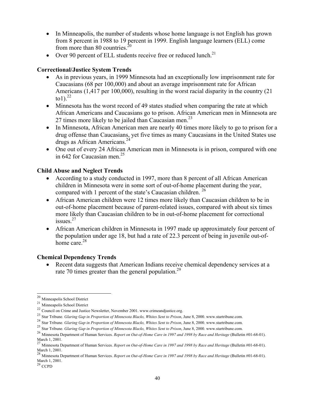- In Minneapolis, the number of students whose home language is not English has grown from 8 percent in 1988 to 19 percent in 1999. English language learners (ELL) come from more than 80 countries. $20$
- Over 90 percent of ELL students receive free or reduced lunch.<sup>21</sup>

#### **Correctional/Justice System Trends**

- As in previous vears, in 1999 Minnesota had an exceptionally low imprisonment rate for Caucasians (68 per 100,000) and about an average imprisonment rate for African Americans (1,417 per 100,000), resulting in the worst racial disparity in the country (21 to1). $^{22}$
- Minnesota has the worst record of 49 states studied when comparing the rate at which African Americans and Caucasians go to prison. African American men in Minnesota are 27 times more likely to be jailed than Caucasian men.<sup>23</sup>
- In Minnesota, African American men are nearly 40 times more likely to go to prison for a drug offense than Caucasians, yet five times as many Caucasians in the United States use drugs as African Americans.<sup>24</sup>
- One out of every 24 African American men in Minnesota is in prison, compared with one in 642 for Caucasian men. $25$

#### **Child Abuse and Neglect Trends**

- According to a study conducted in 1997, more than 8 percent of all African American children in Minnesota were in some sort of out-of-home placement during the year, compared with 1 percent of the state's Caucasian children.<sup>26</sup>
- African American children were 12 times more likely than Caucasian children to be in out-of-home placement because of parent-related issues, compared with about six times more likely than Caucasian children to be in out-of-home placement for correctional issues.<sup>27</sup>
- African American children in Minnesota in 1997 made up approximately four percent of the population under age 18, but had a rate of 22.3 percent of being in juvenile out-ofhome care.<sup>28</sup>

#### **Chemical Dependency Trends**

• Recent data suggests that American Indians receive chemical dependency services at a rate 70 times greater than the general population.<sup>29</sup>

 $^{20}$ Minneapolis School District

<sup>&</sup>lt;sup>21</sup> Minneapolis School District<br><sup>22</sup> Council on Crime and Justice Newsletter, November 2001. www.crimeandjustice.org.<br><sup>23</sup> Star Tribune. *Glaring Gap in Proportion of Minnesota Blacks, Whites Sent to Prison, June 8, 2000* 

<sup>&</sup>lt;sup>24</sup> Star Tribune. *Glaring Gap in Proportion of Minnesota Blacks, Whites Sent to Prison*, June 8, 2000. www.startribune.com.<br><sup>25</sup> Star Tribune. *Glaring Gap in Proportion of Minnesota Blacks, Whites Sent to Prison*, June

<sup>&</sup>lt;sup>26</sup> Minnesota Department of Human Services. Report on Out-of-Home Care in 1997 and 1998 by Race and Heritage (Bulletin #01-68-01). March 1, 2001.<br><sup>27</sup> Minnesota Department of Human Services. *Report on Out-of-Home Care in 1997 and 1998 by Race and Heritage* (Bulletin #01-68-01).

March 1, 2001.

<sup>&</sup>lt;sup>28</sup> Minnesota Department of Human Services. *Report on Out-of-Home Care in 1997 and 1998 by Race and Heritage* (Bulletin #01-68-01). March 1, 2001.<br><sup>29</sup> CCPD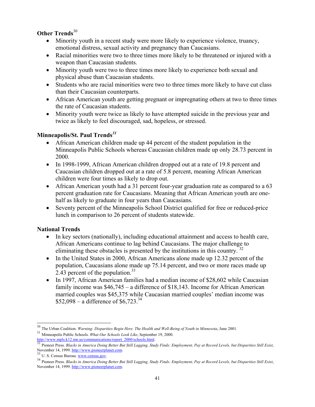## **Other Trends**<sup>30</sup>

- Minority youth in a recent study were more likely to experience violence, truancy, emotional distress, sexual activity and pregnancy than Caucasians.
- Racial minorities were two to three times more likely to be threatened or injured with a weapon than Caucasian students.
- Minority youth were two to three times more likely to experience both sexual and physical abuse than Caucasian students.
- Students who are racial minorities were two to three times more likely to have cut class than their Caucasian counterparts.
- African American youth are getting pregnant or impregnating others at two to three times the rate of Caucasian students.
- Minority youth were twice as likely to have attempted suicide in the previous year and twice as likely to feel discouraged, sad, hopeless, or stressed.

## **Minneapolis/St. Paul Trends***<sup>31</sup>*

- African American children made up 44 percent of the student population in the Minneapolis Public Schools whereas Caucasian children made up only 28.73 percent in 2000.
- In 1998-1999, African American children dropped out at a rate of 19.8 percent and Caucasian children dropped out at a rate of 5.8 percent, meaning African American children were four times as likely to drop out.
- African American youth had a 31 percent four-year graduation rate as compared to a 63 percent graduation rate for Caucasians. Meaning that African American youth are onehalf as likely to graduate in four years than Caucasians.
- Seventy percent of the Minneapolis School District qualified for free or reduced-price lunch in comparison to 26 percent of students statewide.

### **National Trends**

l

- In key sectors (nationally), including educational attainment and access to health care, African Americans continue to lag behind Caucasians. The major challenge to eliminating these obstacles is presented by the institutions in this country.  $32$
- In the United States in 2000, African Americans alone made up 12.32 percent of the population, Caucasians alone made up 75.14 percent, and two or more races made up 2.43 percent of the population.<sup>33</sup>
- In 1997, African American families had a median income of \$28,602 while Caucasian family income was \$46,745 – a difference of \$18,143. Income for African American married couples was \$45,375 while Caucasian married couples' median income was  $$52,098 - a$  difference of \$6,723.<sup>34</sup>

<sup>&</sup>lt;sup>30</sup> The Urban Coalition. *Warning: Disparities Begin Here. The Health and Well-Being of Youth in Minnesota, June 2001.*<br><sup>31</sup> Minneapolis Public Schools. *What Our Schools Look Like*, September 19, 2000.

<sup>&</sup>lt;sup>31</sup> Minneapolis Public Schools. *What Our Schools Look Like*, September 19, 2000.<br> **http://www.mpls.k12.mn.us/communications/report\_2000/schools.html.**<br><sup>32</sup> Pioneer Press. *Blacks in America Doing Better But Still Lagging* 

<sup>&</sup>lt;sup>33</sup> U. S. Census Bureau. www.census.gov.<br><sup>34</sup> Pioneer Press. Blacks in America Doing Better But Still Lagging, Study Finds: Employment, Pay at Record Levels, but Disparities Still Exist, November 14, 1999. http://www.pioneerplanet.com.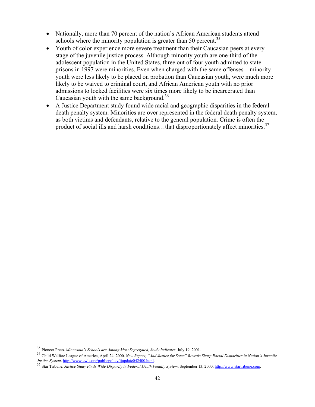- Nationally, more than 70 percent of the nation's African American students attend schools where the minority population is greater than 50 percent.<sup>35</sup>
- Youth of color experience more severe treatment than their Caucasian peers at every stage of the juvenile justice process. Although minority youth are one-third of the adolescent population in the United States, three out of four youth admitted to state prisons in 1997 were minorities. Even when charged with the same offenses – minority youth were less likely to be placed on probation than Caucasian youth, were much more likely to be waived to criminal court, and African American youth with no prior admissions to locked facilities were six times more likely to be incarcerated than Caucasian youth with the same background.<sup>36</sup>
- A Justice Department study found wide racial and geographic disparities in the federal death penalty system. Minorities are over represented in the federal death penalty system, as both victims and defendants, relative to the general population. Crime is often the product of social ills and harsh conditions...that disproportionately affect minorities.<sup>37</sup>

<sup>&</sup>lt;sup>35</sup> Pioneer Press. Minnesota's Schools are Among Most Segregated, Study Indicates, July 19, 2001.

<sup>&</sup>lt;sup>36</sup> Child Welfare League of America, April 24, 2000. New Report, "And Justice for Some" Reveals Sharp Racial Disparities in Nation's Juvenile<br>Justice System. http://www.cwls.org/publicpolicy/jjupdate042400.html.<br><sup>37</sup> Star

*Justice System*. *Justice Study Finds Wide Disparity in Federal Death Penalty System***, September 13, 2000. http://www.startribune.com.**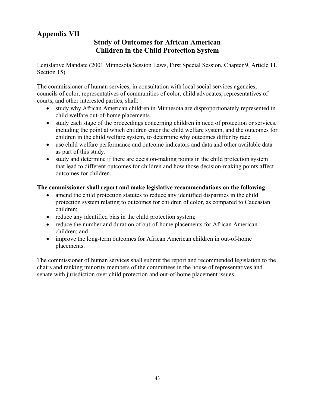# **Appendix VII**

## **Study of Outcomes for African American Children in the Child Protection System**

Legislative Mandate (2001 Minnesota Session Laws, First Special Session, Chapter 9, Article 11, Section 15)

The commissioner of human services, in consultation with local social services agencies, councils of color, representatives of communities of color, child advocates, representatives of courts, and other interested parties, shall:

- study why African American children in Minnesota are disproportionately represented in child welfare out-of-home placements.
- study each stage of the proceedings concerning children in need of protection or services, including the point at which children enter the child welfare system, and the outcomes for children in the child welfare system, to determine why outcomes differ by race.
- use child welfare performance and outcome indicators and data and other available data as part of this study.
- study and determine if there are decision-making points in the child protection system that lead to different outcomes for children and how those decision-making points affect outcomes for children.

#### **The commissioner shall report and make legislative recommendations on the following:**

- amend the child protection statutes to reduce any identified disparities in the child protection system relating to outcomes for children of color, as compared to Caucasian children;
- reduce any identified bias in the child protection system;
- reduce the number and duration of out-of-home placements for African American children; and
- improve the long-term outcomes for African American children in out-of-home placements.

The commissioner of human services shall submit the report and recommended legislation to the chairs and ranking minority members of the committees in the house of representatives and senate with jurisdiction over child protection and out-of-home placement issues.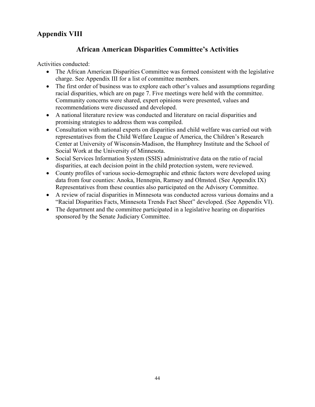# **Appendix VIII**

# **African American Disparities Committee's Activities**

Activities conducted:

- The African American Disparities Committee was formed consistent with the legislative charge. See Appendix III for a list of committee members.
- The first order of business was to explore each other's values and assumptions regarding racial disparities, which are on page 7. Five meetings were held with the committee. Community concerns were shared, expert opinions were presented, values and recommendations were discussed and developed.
- A national literature review was conducted and literature on racial disparities and promising strategies to address them was compiled.
- Consultation with national experts on disparities and child welfare was carried out with representatives from the Child Welfare League of America, the Children's Research Center at University of Wisconsin-Madison, the Humphrey Institute and the School of Social Work at the University of Minnesota.
- Social Services Information System (SSIS) administrative data on the ratio of racial disparities, at each decision point in the child protection system, were reviewed.
- County profiles of various socio-demographic and ethnic factors were developed using data from four counties: Anoka, Hennepin, Ramsey and Olmsted. (See Appendix IX) Representatives from these counties also participated on the Advisory Committee.
- A review of racial disparities in Minnesota was conducted across various domains and a "Racial Disparities Facts, Minnesota Trends Fact Sheet" developed. (See Appendix VI).
- The department and the committee participated in a legislative hearing on disparities sponsored by the Senate Judiciary Committee.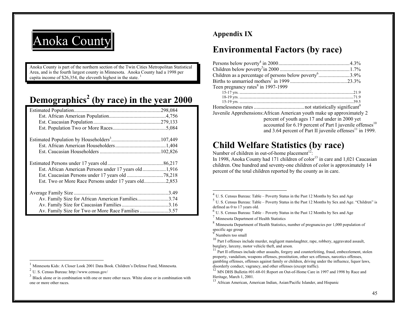

Anoka County is part of the northern section of the Twin Cities Metropolitan Statistical Area, and is the fourth largest county in Minnesota. Anoka County had a 1998 per capita income of \$26,354, the eleventh highest in the state.  $<sup>1</sup>$ </sup>

# **Demographics 2 (by race) in the year 2000**

| Est. African American Persons under 17 years old1,916 |  |
|-------------------------------------------------------|--|
|                                                       |  |
| Est. Two or More Race Persons under 17 years old2,853 |  |
|                                                       |  |
| Av. Family Size for African American Families3.74     |  |
|                                                       |  |
| Av. Family Size for Two or More Race Families 3.57    |  |

<sup>1</sup> Minnesota Kids: A Closer Look 2001 Data Book. Children's Defense Fund, Minnesota.

# **Appendix IX**

# **Environmental Factors (by race)**

| Teen pregnancy rates $8 \text{ in } 1997 - 1999$                       |  |
|------------------------------------------------------------------------|--|
|                                                                        |  |
|                                                                        |  |
|                                                                        |  |
|                                                                        |  |
| Juvenile Apprehensions: African American youth make up approximately 2 |  |
| percent of youth ages 17 and under in 2000 yet                         |  |
| accounted for 6.19 percent of Part I juvenile offenses <sup>10</sup>   |  |
| and 3.64 percent of Part II juvenile offenses <sup>11</sup> in 1999.   |  |

# **Child Welfare Statistics (by race)**

Number of children in out-of-home placement<sup>12</sup>:

In 1998, Anoka County had 171 children of  $color<sup>13</sup>$  in care and 1,021 Caucasian children. One hundred and seventy-one children of color is approximately 14 percent of the total children reported by the county as in care.

U. S. Census Bureau: http://www.census.gov/

 $3$  Black alone or in combination with one or more other races. White alone or in combination with one or more other races.

 $4$  U. S. Census Bureau: Table – Poverty Status in the Past 12 Months by Sex and Age

 $<sup>5</sup>$  U. S. Census Bureau: Table – Poverty Status in the Past 12 Months by Sex and Age. "Children" is</sup> defined as 0 to 17 years old.

 $^{6}$  U. S. Census Bureau: Table – Poverty Status in the Past 12 Months by Sex and Age

<sup>&</sup>lt;sup>7</sup> Minnesota Department of Health Statistics

 $8$  Minnesota Department of Health Statistics, number of pregnancies per 1,000 population of specific age group

<sup>9</sup>Numbers too small

 $10$  Part I offenses include murder, negligent manslaughter, rape, robbery, aggravated assault, burglary, larceny, motor vehicle theft, and arson.

 $11$  Part II offenses include other assaults, forgery and counterfeiting, fraud, embezzlement, stolen property, vandalism, weapons offenses, prostitution, other sex offenses, narcotics offenses, gambling offenses, offenses against family or children, driving under the influence, liquor laws, disorderly conduct, vagrancy, and other offenses (except traffic).

 $12$  MN DHS Bulletin #01-68-01: Report on Out-of-Home Care in 1997 and 1998 by Race and Heritage, March 1, 2001.

<sup>&</sup>lt;sup>13</sup> African American, American Indian, Asian/Pacific Islander, and Hispanic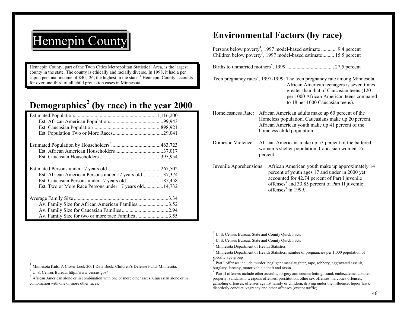# Hennepin County

Hennepin County, part of the Twin Cities Metropolitan Statistical Area, is the largest county in the state. The county is ethically and racially diverse. In 1998, it had a per capita personal income of  $$40,126$ , the highest in the state. <sup>1</sup> Hennepin County accounts for over one-third of all child protection cases in Minnesota.

# **Demographics 2 (by race) in the year 2000**

| Est. African American Persons under 17 years old37,374 |      |
|--------------------------------------------------------|------|
| Est. Caucasian Persons under 17 years old  185,458     |      |
| Est. Two or More Race Persons under 17 years old14,732 |      |
|                                                        | 3.34 |
| Av. Family Size for African American Families3.52      |      |
|                                                        |      |
| Av. Family Size for two or more race Families 3.55     |      |

# **Environmental Factors (by race)**

Persons below poverty<sup>4</sup>, 1997 model-based estimate ............ 9.4 percent Children below poverty<sup>5</sup>, 1997 model-based estimate......... 15.5 percent

Births to unmarried mothers6, 1999 ..................................... 27.5 percent

- Teen pregnancy rates<sup>7</sup>, 1997-1999: The teen pregnancy rate among Minnesota African American teenagers is seven times greater than that of Caucasian teens (120 per 1000 African American teens compared to 18 per 1000 Caucasian teens).
- Homelessness Rate: African American adults make up 60 percent of the Homeless population. Caucasians make up 20 percent. African American youth make up 41 percent of the homeless child population.
- Domestic Violence: African Americans make up 53 percent of the battered women's shelter population. Caucasian women 16 percent.
- Juvenile Apprehensions: African American youth make up approximately 14 percent of youth ages 17 and under in 2000 yet accounted for 42.74 percent of Part I juvenile offenses<sup>8</sup> and 33.85 percent of Part II juvenile offenses $9$  in 1999.

<sup>&</sup>lt;sup>1</sup> Minnesota Kids: A Closer Look 2001 Data Book. Children's Defense Fund, Minnesota.

U. S. Census Bureau: http://www.census.gov/

 $3<sup>3</sup>$  African American alone or in combination with one or more other races. Caucasian alone or in combination with one or more other races.

 $<sup>4</sup>$  U. S. Census Bureau: State and County Quick Facts</sup>

 $<sup>5</sup>$  U. S. Census Bureau: State and County Quick Facts</sup>

<sup>&</sup>lt;sup>6</sup> Minnesota Department of Health Statistics

 $^7$  Minnesota Department of Health Statistics, number of pregnancies per 1,000 population of specific age group

<sup>8</sup> Part I offenses include murder, negligent manslaughter, rape, robbery, aggravated assault, burglary, larceny, motor vehicle theft and arson.

 $9$  Part II offenses include other assaults, forgery and counterfeiting, fraud, embezzlement, stolen property, vandalism, weapons offenses, prostitution, other sex offenses, narcotics offenses, gambling offenses, offenses against family or children, driving under the influence, liquor laws, disorderly conduct, vagrancy and other offenses (except traffic).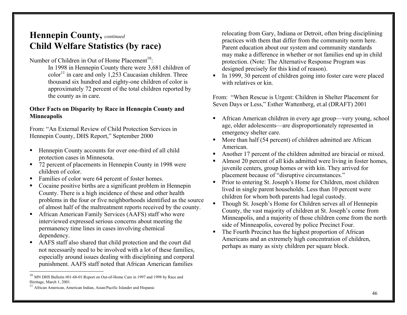# **Hennepin County,** *continued*  **Child Welfare Statistics (by race)**

Number of Children in Out of Home Placement<sup>10</sup>:

 In 1998 in Hennepin County there were 3,681 children of  $color<sup>11</sup>$  in care and only 1,253 Caucasian children. Three thousand six hundred and eighty-one children of color is approximately 72 percent of the total children reported by the county as in care.

#### **Other Facts on Disparity by Race in Hennepin County and Minneapolis**

From: "An External Review of Child Protection Services in Hennepin County, DHS Report," September 2000

- **Hennepin County accounts for over one-third of all child** protection cases in Minnesota.
- 72 percent of placements in Hennepin County in 1998 were children of color.
- Families of color were 64 percent of foster homes.
- Cocaine positive births are a significant problem in Hennepin County. There is a high incidence of these and other health problems in the four or five neighborhoods identified as the source of almost half of the maltreatment reports received by the county.
- African American Family Services (AAFS) staff who were interviewed expressed serious concerns about meeting the permanency time lines in cases involving chemical dependency.
- AAFS staff also shared that child protection and the court did not necessarily need to be involved with a lot of these families, especially around issues dealing with disciplining and corporal punishment. AAFS staff noted that African American families

relocating from Gary, Indiana or Detroit, often bring disciplining practices with them that differ from the community norm here. Parent education about our system and community standards may make a difference in whether or not families end up in child protection. (Note: The Alternative Response Program was designed precisely for this kind of reason).

In 1999, 30 percent of children going into foster care were placed with relatives or kin.

From: "When Rescue is Urgent: Children in Shelter Placement for Seven Days or Less," Esther Wattenberg, et.al (DRAFT) 2001

- African American children in every age group—very young, school age, older adolescents—are disproportionately represented in emergency shelter care.
- More than half (54 percent) of children admitted are African American.
- Another 17 percent of the children admitted are biracial or mixed.
- Almost 20 percent of all kids admitted were living in foster homes, juvenile centers, group homes or with kin. They arrived for placement because of "disruptive circumstances."
- **Prior to entering St. Joseph's Home for Children, most children** lived in single parent households. Less than 10 percent were children for whom both parents had legal custody.
- Though St. Joseph's Home for Children serves all of Hennepin County, the vast majority of children at St. Joseph's come from Minneapolis, and a majority of those children come from the north side of Minneapolis, covered by police Precinct Four.
- The Fourth Precinct has the highest proportion of African Americans and an extremely high concentration of children, perhaps as many as sixty children per square block.

 $^{10}$  MN DHS Bulletin #01-68-01:Report on Out-of-Home Care in 1997 and 1998 by Race and Heritage, March 1, 2001.

<sup>&</sup>lt;sup>11</sup> African American, American Indian, Asian/Pacific Islander and Hispanic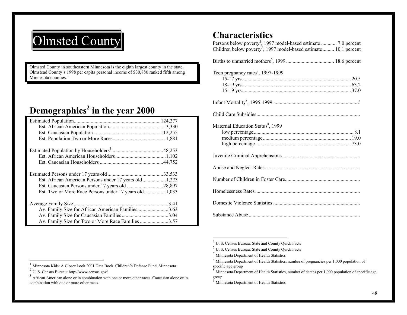# Olmsted County

Olmsted County in southeastern Minnesota is the eighth largest county in the state. Olmstead County's 1998 per capita personal income of \$30,880 ranked fifth among Minnesota counties.<sup>1</sup>

# **Demographics2 in the year 2000**

| Est. African American Persons under 17 years old1,273 |  |
|-------------------------------------------------------|--|
| Est. Caucasian Persons under 17 years old 28,897      |  |
|                                                       |  |
|                                                       |  |
|                                                       |  |
| Av. Family Size for African American Families3.63     |  |
|                                                       |  |
| Av. Family Size for Two or More Race Families 3.57    |  |

# **Characteristics**

| Persons below poverty <sup>4</sup> , 1997 model-based estimate  7.0 percent<br>Children below poverty <sup>5</sup> , 1997 model-based estimate 10.1 percent |
|-------------------------------------------------------------------------------------------------------------------------------------------------------------|
|                                                                                                                                                             |
| Teen pregnancy rates <sup>7</sup> , 1997-1999                                                                                                               |
|                                                                                                                                                             |
|                                                                                                                                                             |
| Maternal Education Status <sup>9</sup> , 1999                                                                                                               |
|                                                                                                                                                             |
|                                                                                                                                                             |
|                                                                                                                                                             |
|                                                                                                                                                             |
|                                                                                                                                                             |
|                                                                                                                                                             |

 $<sup>4</sup>$  U. S. Census Bureau: State and County Quick Facts</sup>

 $<sup>5</sup>$  U. S. Census Bureau: State and County Quick Facts</sup>

<sup>&</sup>lt;sup>6</sup> Minnesota Department of Health Statistics

 $^7$  Minnesota Department of Health Statistics, number of pregnancies per 1,000 population of specific age group

 $8$  Minnesota Department of Health Statistics, number of deaths per 1,000 population of specific age group

<sup>&</sup>lt;sup>9</sup> Minnesota Department of Health Statistics

<sup>&</sup>lt;sup>1</sup> Minnesota Kids: A Closer Look 2001 Data Book. Children's Defense Fund, Minnesota.

 $^{2}$  U. S. Census Bureau: http://www.census.gov/

 $3\overline{)}$  African American alone or in combination with one or more other races. Caucasian alone or in combination with one or more other races.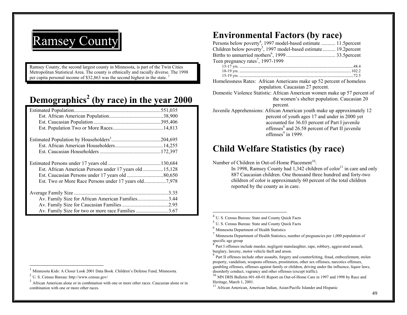

Ramsey County, the second largest county in Minnesota, is part of the Twin Cities Metropolitan Statistical Area. The county is ethnically and racially diverse. The 1998 per capita personal income of \$32,863 was the second highest in the state.  $1$ 

# **Demographics 2 (by race) in the year 2000**

| Est. African American Persons under 17 years old15,128 |      |
|--------------------------------------------------------|------|
|                                                        |      |
|                                                        |      |
|                                                        |      |
|                                                        | 3.35 |
| Av. Family Size for African American Families3.44      |      |
|                                                        |      |
| Av. Family Size for two or more race Families 3.67     |      |

# **Environmental Factors (by race)**

| Persons below poverty <sup>4</sup> , 1997 model-based estimate  11.5 percent                                                                                                                                                                                                 |  |  |  |
|------------------------------------------------------------------------------------------------------------------------------------------------------------------------------------------------------------------------------------------------------------------------------|--|--|--|
| Children below poverty <sup>5</sup> , 1997 model-based estimate 19.2 percent                                                                                                                                                                                                 |  |  |  |
|                                                                                                                                                                                                                                                                              |  |  |  |
| Teen pregnancy rates <sup>7</sup> , 1997-1999                                                                                                                                                                                                                                |  |  |  |
|                                                                                                                                                                                                                                                                              |  |  |  |
|                                                                                                                                                                                                                                                                              |  |  |  |
|                                                                                                                                                                                                                                                                              |  |  |  |
| Homelessness Rates: African Americans make up 52 percent of homeless                                                                                                                                                                                                         |  |  |  |
| population. Caucasian 27 percent.                                                                                                                                                                                                                                            |  |  |  |
| Domestic Violence Statistic: African American women make up 57 percent of<br>the women's shelter population. Caucasian 20<br>percent.                                                                                                                                        |  |  |  |
| Juvenile Apprehensions: African American youth make up approximately 12<br>percent of youth ages 17 and under in 2000 yet<br>accounted for 36.03 percent of Part I juvenile<br>offenses <sup>8</sup> and 26.58 percent of Part II juvenile<br>offenses <sup>9</sup> in 1999. |  |  |  |

# **Child Welfare Statistics (by race)**

Number of Children in Out-of-Home Placement<sup>10</sup>:

In 1998, Ramsey County had  $1,342$  children of color<sup>11</sup> in care and only 887 Caucasian children. One thousand three hundred and forty-two children of color is approximately 60 percent of the total children reported by the county as in care.

Minnesota Kids: A Closer Look 2001 Data Book. Children's Defense Fund, Minnesota. 2

U. S. Census Bureau: http://www.census.gov/

 $3<sup>3</sup>$  African American alone or in combination with one or more other races. Caucasian alone or in combination with one or more other races.

 $<sup>4</sup>$  U. S. Census Bureau: State and County Quick Facts</sup>

 $<sup>5</sup>$  U. S. Census Bureau: State and County Quick Facts</sup>

<sup>&</sup>lt;sup>6</sup> Minnesota Department of Health Statistics

 $^7$  Minnesota Department of Health Statistics, number of pregnancies per 1,000 population of specific age group

<sup>&</sup>lt;sup>8</sup> Part I offenses include murder, negligent manslaughter, rape, robbery, aggravated assault, burglary, larceny, motor vehicle theft and arson.

 $9$  Part II offenses include other assaults, forgery and counterfeiting, fraud, embezzlement, stolen property, vandalism, weapons offenses, prostitution, other sex offenses, narcotics offenses, gambling offenses, offenses against family or children, driving under the influence, liquor laws, disorderly conduct, vagrancy and other offenses (except traffic).

 $^{10}$  MN DHS Bulletin #01-68-01:Report on Out-of-Home Care in 1997 and 1998 by Race and Heritage, March 1, 2001.

<sup>&</sup>lt;sup>11</sup> African American, American Indian, Asian/Pacific Islander and Hispanic